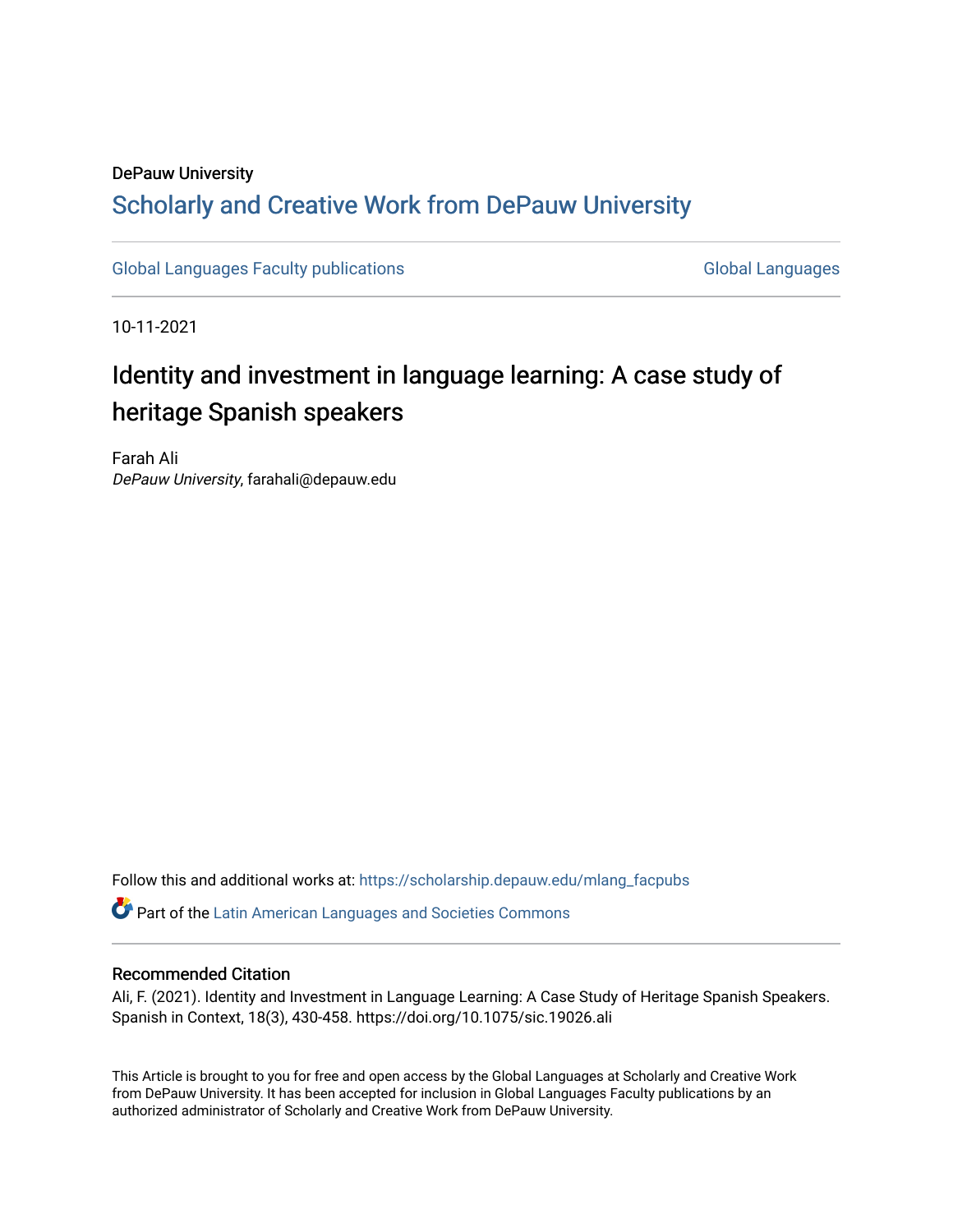# DePauw University Scholarly and [Creative Work from DePauw Univ](https://scholarship.depauw.edu/)ersity

[Global Languages Faculty publications](https://scholarship.depauw.edu/mlang_facpubs) [Global Languages](https://scholarship.depauw.edu/modernlanguages) Global Languages

10-11-2021

# Identity and investment in language learning: A case study of heritage Spanish speakers

Farah Ali DePauw University, farahali@depauw.edu

Follow this and additional works at: [https://scholarship.depauw.edu/mlang\\_facpubs](https://scholarship.depauw.edu/mlang_facpubs?utm_source=scholarship.depauw.edu%2Fmlang_facpubs%2F94&utm_medium=PDF&utm_campaign=PDFCoverPages)

Part of the [Latin American Languages and Societies Commons](https://network.bepress.com/hgg/discipline/483?utm_source=scholarship.depauw.edu%2Fmlang_facpubs%2F94&utm_medium=PDF&utm_campaign=PDFCoverPages) 

#### Recommended Citation

Ali, F. (2021). Identity and Investment in Language Learning: A Case Study of Heritage Spanish Speakers. Spanish in Context, 18(3), 430-458. https://doi.org/10.1075/sic.19026.ali

This Article is brought to you for free and open access by the Global Languages at Scholarly and Creative Work from DePauw University. It has been accepted for inclusion in Global Languages Faculty publications by an authorized administrator of Scholarly and Creative Work from DePauw University.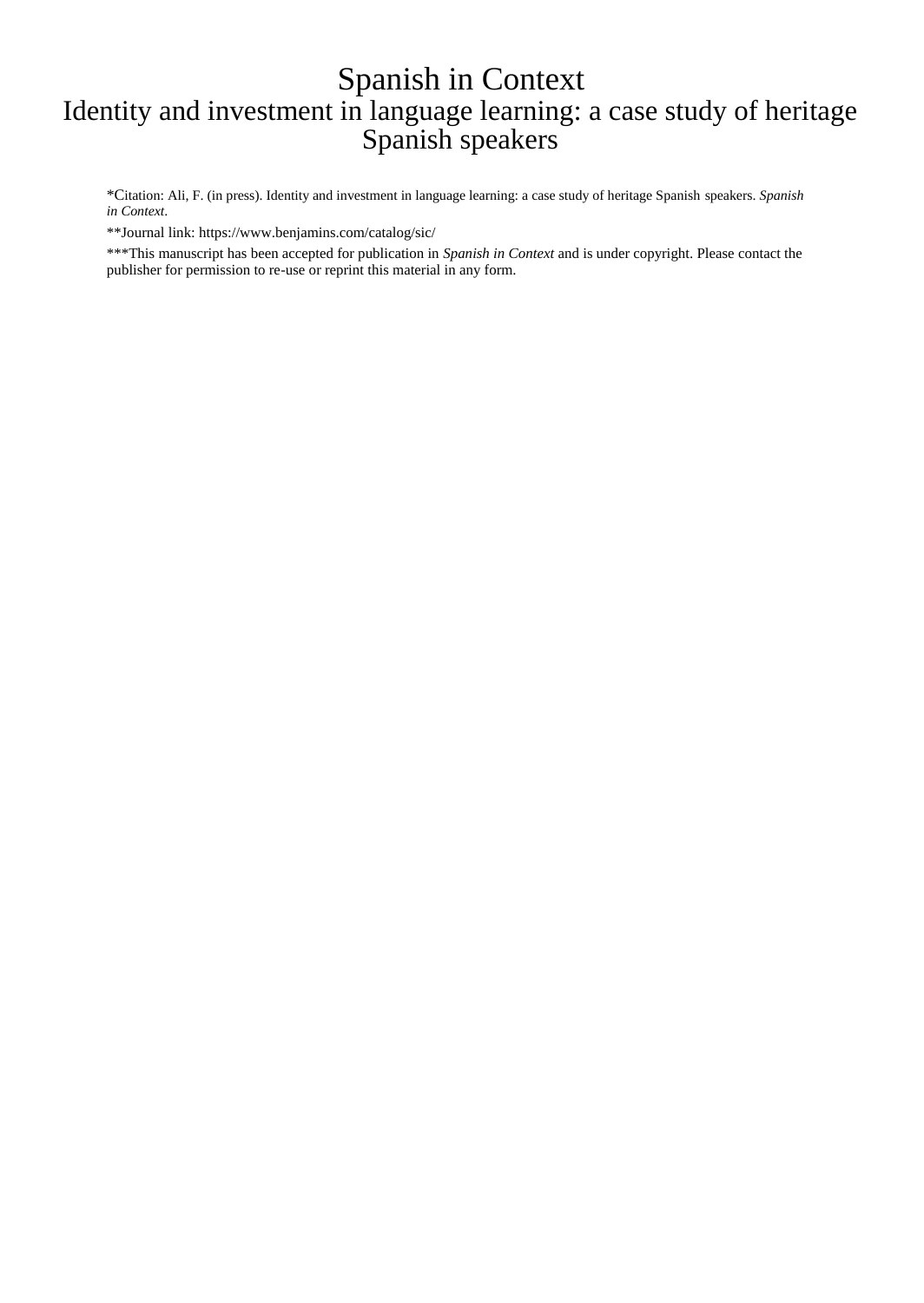# Spanish in Context Identity and investment in language learning: a case study of heritage Spanish speakers

\*Citation: Ali, F. (in press). Identity and investment in language learning: a case study of heritage Spanish speakers. *Spanish in Context*.

\*\*Journal link: https://www.benjamins.com/catalog/sic/

\*\*\*This manuscript has been accepted for publication in *Spanish in Context* and is under copyright. Please contact the publisher for permission to re-use or reprint this material in any form.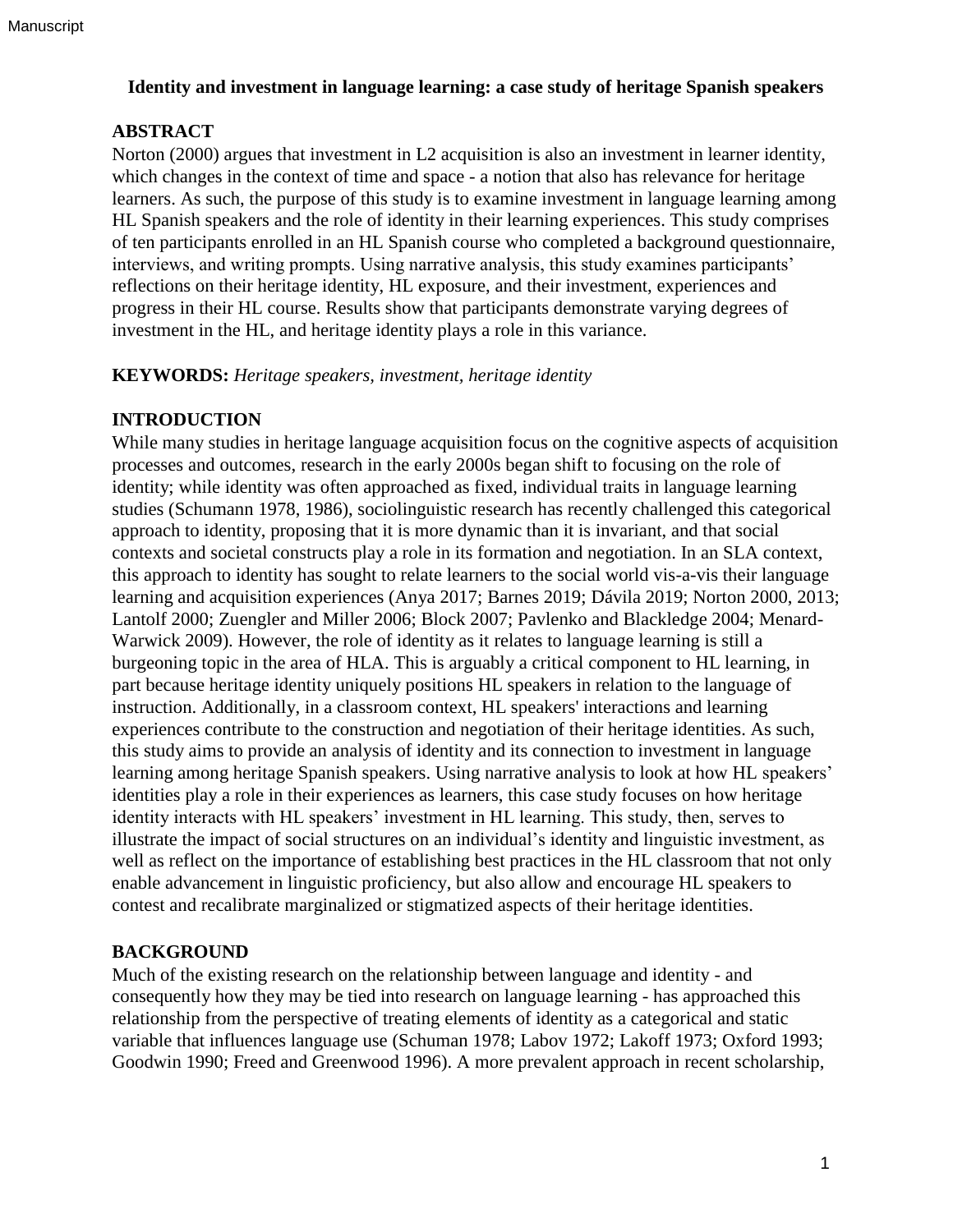#### **Identity and investment in language learning: a case study of heritage Spanish speakers**

# **ABSTRACT**

Norton (2000) argues that investment in L2 acquisition is also an investment in learner identity, which changes in the context of time and space - a notion that also has relevance for heritage learners. As such, the purpose of this study is to examine investment in language learning among HL Spanish speakers and the role of identity in their learning experiences. This study comprises of ten participants enrolled in an HL Spanish course who completed a background questionnaire, interviews, and writing prompts. Using narrative analysis, this study examines participants' reflections on their heritage identity, HL exposure, and their investment, experiences and progress in their HL course. Results show that participants demonstrate varying degrees of investment in the HL, and heritage identity plays a role in this variance.

#### **KEYWORDS:** *Heritage speakers, investment, heritage identity*

### **INTRODUCTION**

While many studies in heritage language acquisition focus on the cognitive aspects of acquisition processes and outcomes, research in the early 2000s began shift to focusing on the role of identity; while identity was often approached as fixed, individual traits in language learning studies (Schumann 1978, 1986), sociolinguistic research has recently challenged this categorical approach to identity, proposing that it is more dynamic than it is invariant, and that social contexts and societal constructs play a role in its formation and negotiation. In an SLA context, this approach to identity has sought to relate learners to the social world vis-a-vis their language learning and acquisition experiences (Anya 2017; Barnes 2019; Dávila 2019; Norton 2000, 2013; Lantolf 2000; Zuengler and Miller 2006; Block 2007; Pavlenko and Blackledge 2004; Menard-Warwick 2009). However, the role of identity as it relates to language learning is still a burgeoning topic in the area of HLA. This is arguably a critical component to HL learning, in part because heritage identity uniquely positions HL speakers in relation to the language of instruction. Additionally, in a classroom context, HL speakers' interactions and learning experiences contribute to the construction and negotiation of their heritage identities. As such, this study aims to provide an analysis of identity and its connection to investment in language learning among heritage Spanish speakers. Using narrative analysis to look at how HL speakers' identities play a role in their experiences as learners, this case study focuses on how heritage identity interacts with HL speakers' investment in HL learning. This study, then, serves to illustrate the impact of social structures on an individual's identity and linguistic investment, as well as reflect on the importance of establishing best practices in the HL classroom that not only enable advancement in linguistic proficiency, but also allow and encourage HL speakers to contest and recalibrate marginalized or stigmatized aspects of their heritage identities.

# **BACKGROUND**

Much of the existing research on the relationship between language and identity - and consequently how they may be tied into research on language learning - has approached this relationship from the perspective of treating elements of identity as a categorical and static variable that influences language use (Schuman 1978; Labov 1972; Lakoff 1973; Oxford 1993; Goodwin 1990; Freed and Greenwood 1996). A more prevalent approach in recent scholarship,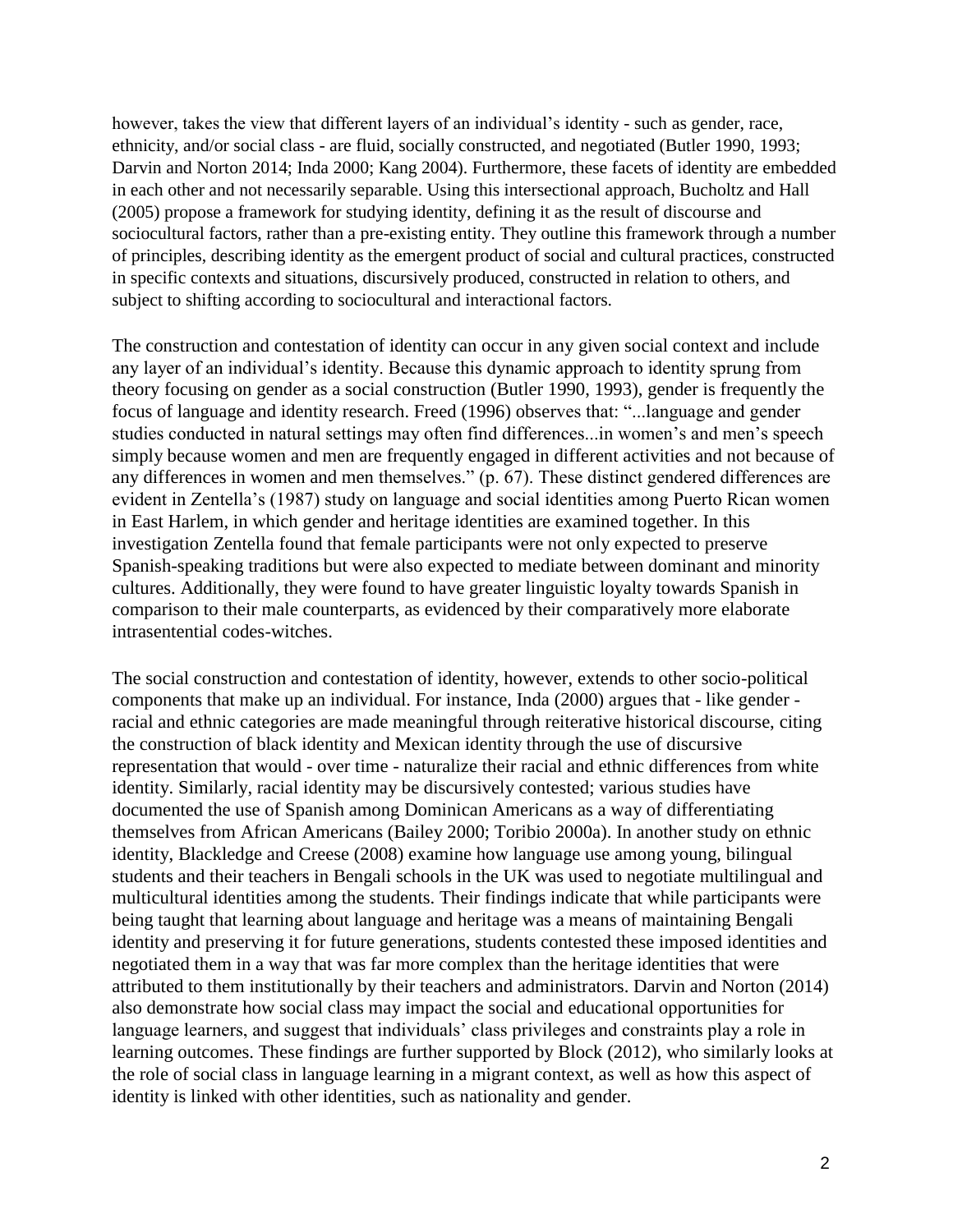however, takes the view that different layers of an individual's identity - such as gender, race, ethnicity, and/or social class - are fluid, socially constructed, and negotiated (Butler 1990, 1993; Darvin and Norton 2014; Inda 2000; Kang 2004). Furthermore, these facets of identity are embedded in each other and not necessarily separable. Using this intersectional approach, Bucholtz and Hall (2005) propose a framework for studying identity, defining it as the result of discourse and sociocultural factors, rather than a pre-existing entity. They outline this framework through a number of principles, describing identity as the emergent product of social and cultural practices, constructed in specific contexts and situations, discursively produced, constructed in relation to others, and subject to shifting according to sociocultural and interactional factors.

The construction and contestation of identity can occur in any given social context and include any layer of an individual's identity. Because this dynamic approach to identity sprung from theory focusing on gender as a social construction (Butler 1990, 1993), gender is frequently the focus of language and identity research. Freed (1996) observes that: "...language and gender studies conducted in natural settings may often find differences...in women's and men's speech simply because women and men are frequently engaged in different activities and not because of any differences in women and men themselves." (p. 67). These distinct gendered differences are evident in Zentella's (1987) study on language and social identities among Puerto Rican women in East Harlem, in which gender and heritage identities are examined together. In this investigation Zentella found that female participants were not only expected to preserve Spanish-speaking traditions but were also expected to mediate between dominant and minority cultures. Additionally, they were found to have greater linguistic loyalty towards Spanish in comparison to their male counterparts, as evidenced by their comparatively more elaborate intrasentential codes-witches.

The social construction and contestation of identity, however, extends to other socio-political components that make up an individual. For instance, Inda (2000) argues that - like gender racial and ethnic categories are made meaningful through reiterative historical discourse, citing the construction of black identity and Mexican identity through the use of discursive representation that would - over time - naturalize their racial and ethnic differences from white identity. Similarly, racial identity may be discursively contested; various studies have documented the use of Spanish among Dominican Americans as a way of differentiating themselves from African Americans (Bailey 2000; Toribio 2000a). In another study on ethnic identity, Blackledge and Creese (2008) examine how language use among young, bilingual students and their teachers in Bengali schools in the UK was used to negotiate multilingual and multicultural identities among the students. Their findings indicate that while participants were being taught that learning about language and heritage was a means of maintaining Bengali identity and preserving it for future generations, students contested these imposed identities and negotiated them in a way that was far more complex than the heritage identities that were attributed to them institutionally by their teachers and administrators. Darvin and Norton (2014) also demonstrate how social class may impact the social and educational opportunities for language learners, and suggest that individuals' class privileges and constraints play a role in learning outcomes. These findings are further supported by Block (2012), who similarly looks at the role of social class in language learning in a migrant context, as well as how this aspect of identity is linked with other identities, such as nationality and gender.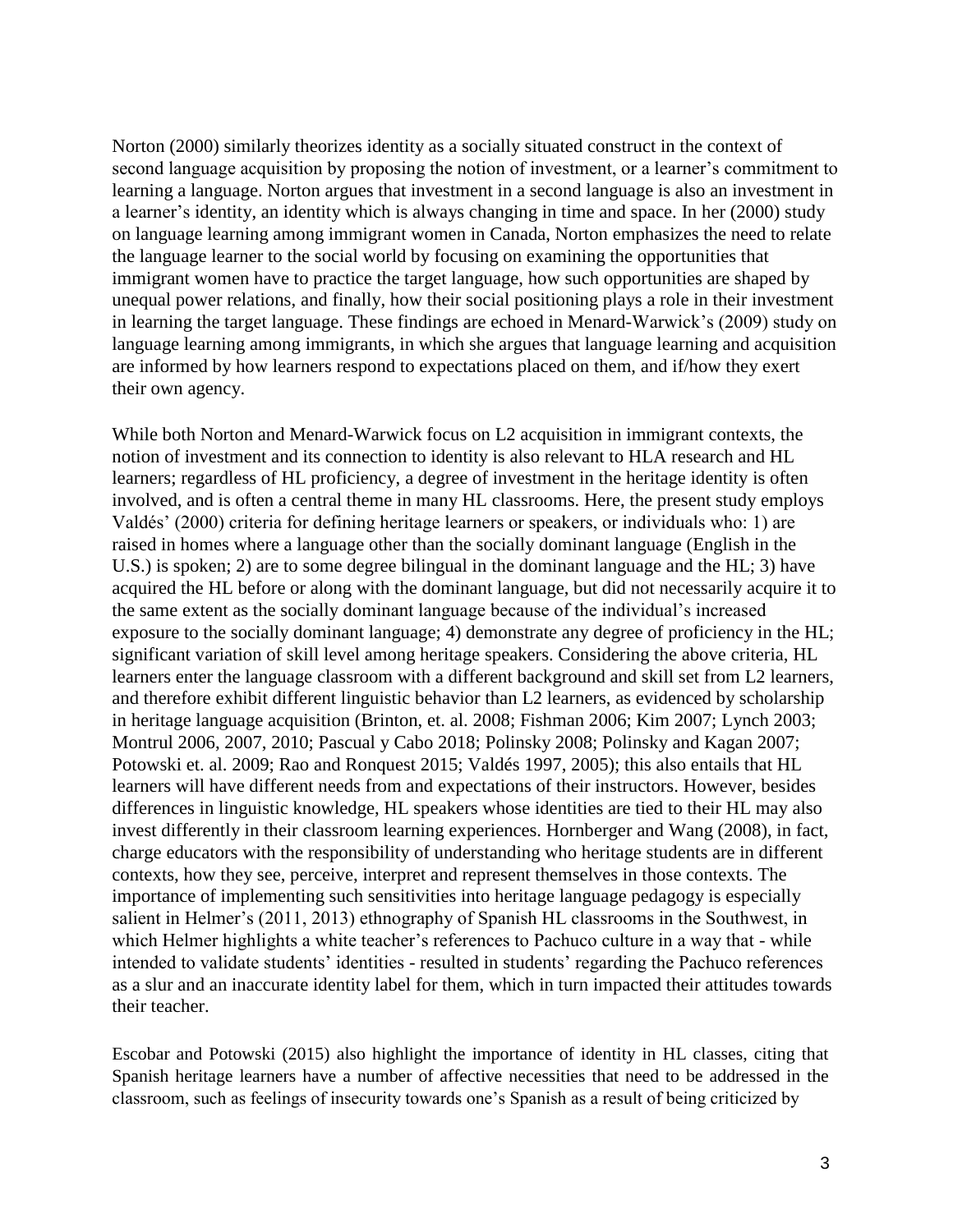Norton (2000) similarly theorizes identity as a socially situated construct in the context of second language acquisition by proposing the notion of investment, or a learner's commitment to learning a language. Norton argues that investment in a second language is also an investment in a learner's identity, an identity which is always changing in time and space. In her (2000) study on language learning among immigrant women in Canada, Norton emphasizes the need to relate the language learner to the social world by focusing on examining the opportunities that immigrant women have to practice the target language, how such opportunities are shaped by unequal power relations, and finally, how their social positioning plays a role in their investment in learning the target language. These findings are echoed in Menard-Warwick's (2009) study on language learning among immigrants, in which she argues that language learning and acquisition are informed by how learners respond to expectations placed on them, and if/how they exert their own agency.

While both Norton and Menard-Warwick focus on L2 acquisition in immigrant contexts, the notion of investment and its connection to identity is also relevant to HLA research and HL learners; regardless of HL proficiency, a degree of investment in the heritage identity is often involved, and is often a central theme in many HL classrooms. Here, the present study employs Valdés' (2000) criteria for defining heritage learners or speakers, or individuals who: 1) are raised in homes where a language other than the socially dominant language (English in the U.S.) is spoken; 2) are to some degree bilingual in the dominant language and the HL; 3) have acquired the HL before or along with the dominant language, but did not necessarily acquire it to the same extent as the socially dominant language because of the individual's increased exposure to the socially dominant language; 4) demonstrate any degree of proficiency in the HL; significant variation of skill level among heritage speakers. Considering the above criteria, HL learners enter the language classroom with a different background and skill set from L2 learners, and therefore exhibit different linguistic behavior than L2 learners, as evidenced by scholarship in heritage language acquisition (Brinton, et. al. 2008; Fishman 2006; Kim 2007; Lynch 2003; Montrul 2006, 2007, 2010; Pascual y Cabo 2018; Polinsky 2008; Polinsky and Kagan 2007; Potowski et. al. 2009; Rao and Ronquest 2015; Valdés 1997, 2005); this also entails that HL learners will have different needs from and expectations of their instructors. However, besides differences in linguistic knowledge, HL speakers whose identities are tied to their HL may also invest differently in their classroom learning experiences. Hornberger and Wang (2008), in fact, charge educators with the responsibility of understanding who heritage students are in different contexts, how they see, perceive, interpret and represent themselves in those contexts. The importance of implementing such sensitivities into heritage language pedagogy is especially salient in Helmer's (2011, 2013) ethnography of Spanish HL classrooms in the Southwest, in which Helmer highlights a white teacher's references to Pachuco culture in a way that - while intended to validate students' identities - resulted in students' regarding the Pachuco references as a slur and an inaccurate identity label for them, which in turn impacted their attitudes towards their teacher.

Escobar and Potowski (2015) also highlight the importance of identity in HL classes, citing that Spanish heritage learners have a number of affective necessities that need to be addressed in the classroom, such as feelings of insecurity towards one's Spanish as a result of being criticized by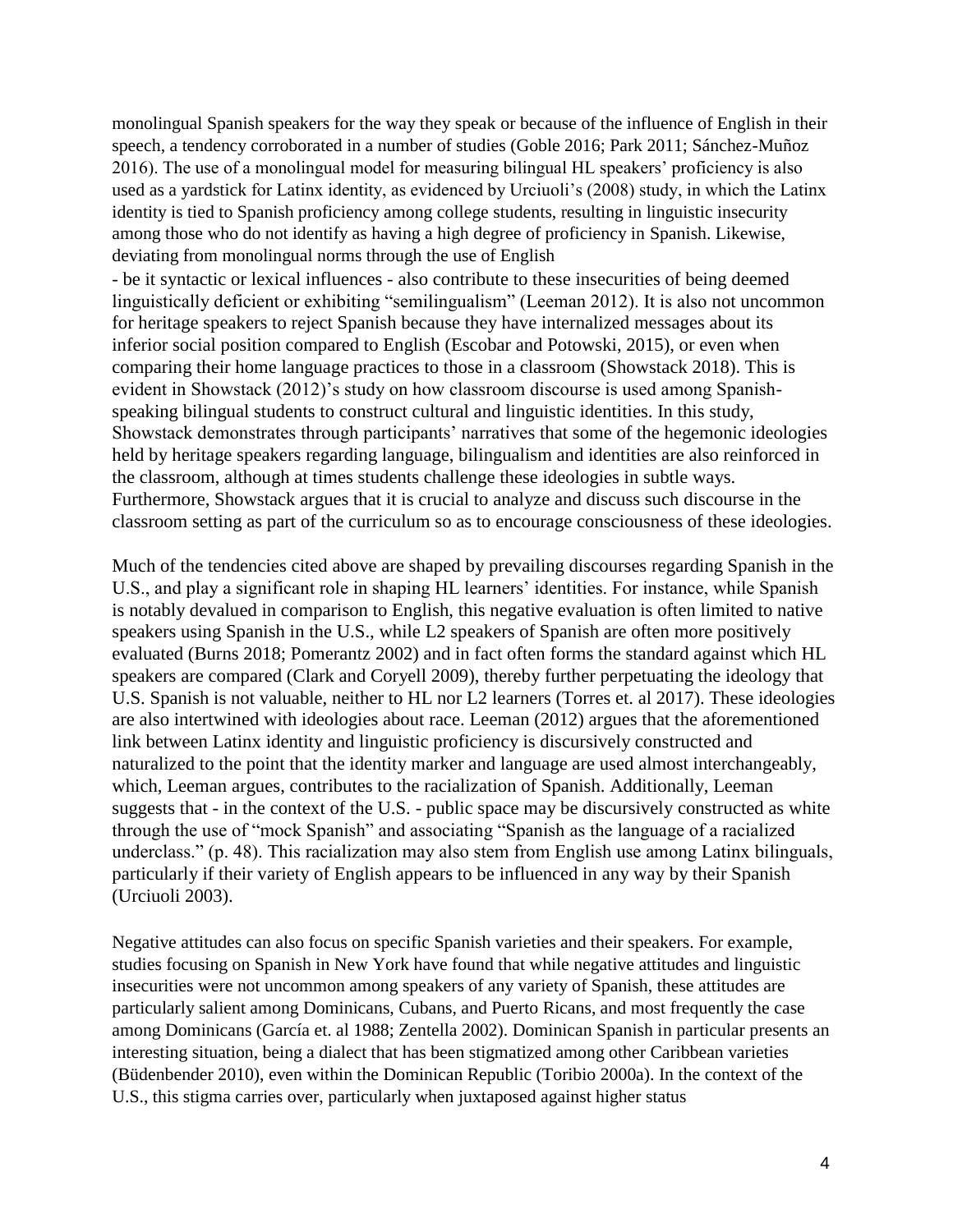monolingual Spanish speakers for the way they speak or because of the influence of English in their speech, a tendency corroborated in a number of studies (Goble 2016; Park 2011; Sánchez-Muñoz 2016). The use of a monolingual model for measuring bilingual HL speakers' proficiency is also used as a yardstick for Latinx identity, as evidenced by Urciuoli's (2008) study, in which the Latinx identity is tied to Spanish proficiency among college students, resulting in linguistic insecurity among those who do not identify as having a high degree of proficiency in Spanish. Likewise, deviating from monolingual norms through the use of English

- be it syntactic or lexical influences - also contribute to these insecurities of being deemed linguistically deficient or exhibiting "semilingualism" (Leeman 2012). It is also not uncommon for heritage speakers to reject Spanish because they have internalized messages about its inferior social position compared to English (Escobar and Potowski, 2015), or even when comparing their home language practices to those in a classroom (Showstack 2018). This is evident in Showstack (2012)'s study on how classroom discourse is used among Spanishspeaking bilingual students to construct cultural and linguistic identities. In this study, Showstack demonstrates through participants' narratives that some of the hegemonic ideologies held by heritage speakers regarding language, bilingualism and identities are also reinforced in the classroom, although at times students challenge these ideologies in subtle ways. Furthermore, Showstack argues that it is crucial to analyze and discuss such discourse in the classroom setting as part of the curriculum so as to encourage consciousness of these ideologies.

Much of the tendencies cited above are shaped by prevailing discourses regarding Spanish in the U.S., and play a significant role in shaping HL learners' identities. For instance, while Spanish is notably devalued in comparison to English, this negative evaluation is often limited to native speakers using Spanish in the U.S., while L2 speakers of Spanish are often more positively evaluated (Burns 2018; Pomerantz 2002) and in fact often forms the standard against which HL speakers are compared (Clark and Coryell 2009), thereby further perpetuating the ideology that U.S. Spanish is not valuable, neither to HL nor L2 learners (Torres et. al 2017). These ideologies are also intertwined with ideologies about race. Leeman (2012) argues that the aforementioned link between Latinx identity and linguistic proficiency is discursively constructed and naturalized to the point that the identity marker and language are used almost interchangeably, which, Leeman argues, contributes to the racialization of Spanish. Additionally, Leeman suggests that - in the context of the U.S. - public space may be discursively constructed as white through the use of "mock Spanish" and associating "Spanish as the language of a racialized underclass." (p. 48). This racialization may also stem from English use among Latinx bilinguals, particularly if their variety of English appears to be influenced in any way by their Spanish (Urciuoli 2003).

Negative attitudes can also focus on specific Spanish varieties and their speakers. For example, studies focusing on Spanish in New York have found that while negative attitudes and linguistic insecurities were not uncommon among speakers of any variety of Spanish, these attitudes are particularly salient among Dominicans, Cubans, and Puerto Ricans, and most frequently the case among Dominicans (García et. al 1988; Zentella 2002). Dominican Spanish in particular presents an interesting situation, being a dialect that has been stigmatized among other Caribbean varieties (Büdenbender 2010), even within the Dominican Republic (Toribio 2000a). In the context of the U.S., this stigma carries over, particularly when juxtaposed against higher status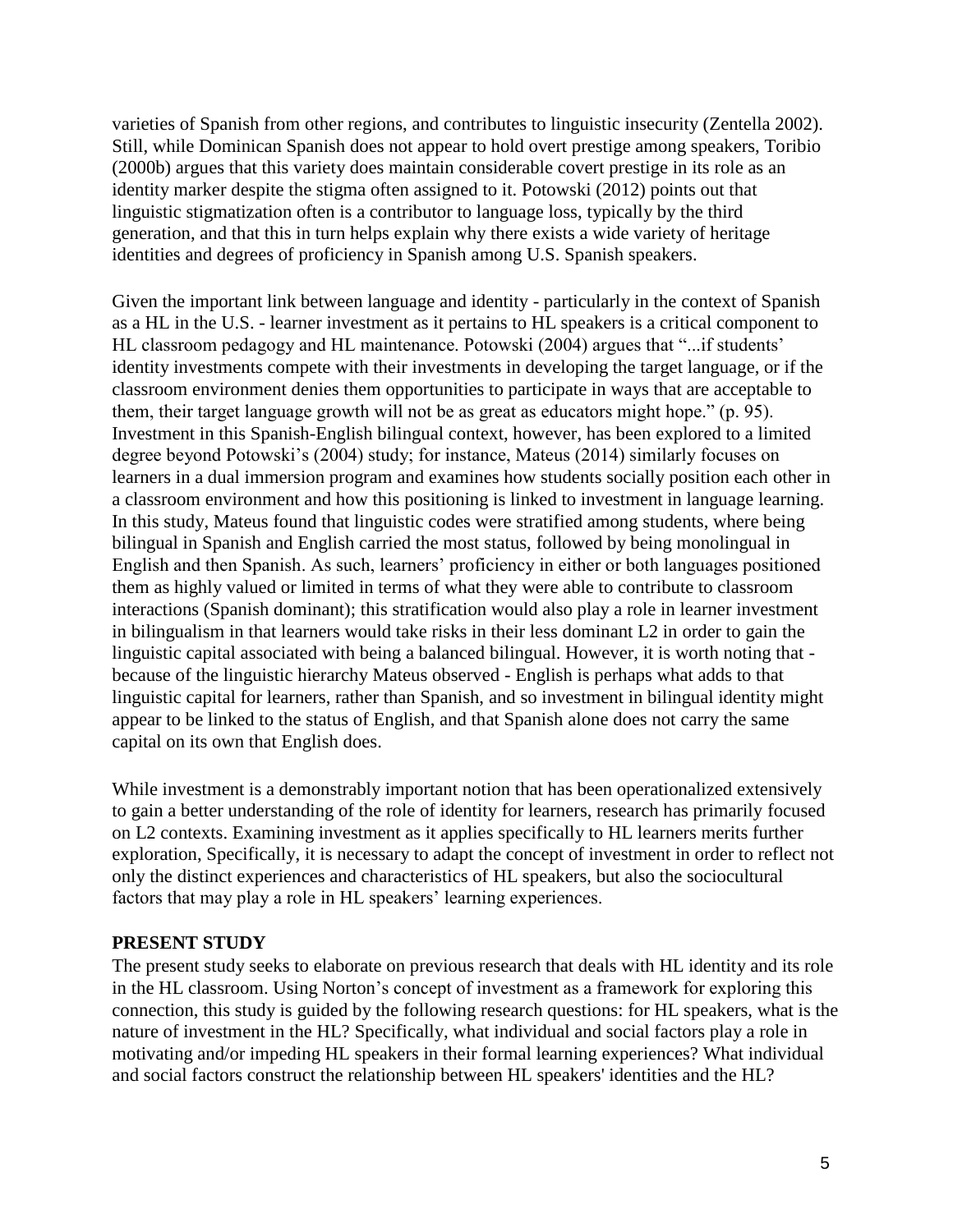varieties of Spanish from other regions, and contributes to linguistic insecurity (Zentella 2002). Still, while Dominican Spanish does not appear to hold overt prestige among speakers, Toribio (2000b) argues that this variety does maintain considerable covert prestige in its role as an identity marker despite the stigma often assigned to it. Potowski (2012) points out that linguistic stigmatization often is a contributor to language loss, typically by the third generation, and that this in turn helps explain why there exists a wide variety of heritage identities and degrees of proficiency in Spanish among U.S. Spanish speakers.

Given the important link between language and identity - particularly in the context of Spanish as a HL in the U.S. - learner investment as it pertains to HL speakers is a critical component to HL classroom pedagogy and HL maintenance. Potowski (2004) argues that "...if students' identity investments compete with their investments in developing the target language, or if the classroom environment denies them opportunities to participate in ways that are acceptable to them, their target language growth will not be as great as educators might hope." (p. 95). Investment in this Spanish-English bilingual context, however, has been explored to a limited degree beyond Potowski's (2004) study; for instance, Mateus (2014) similarly focuses on learners in a dual immersion program and examines how students socially position each other in a classroom environment and how this positioning is linked to investment in language learning. In this study, Mateus found that linguistic codes were stratified among students, where being bilingual in Spanish and English carried the most status, followed by being monolingual in English and then Spanish. As such, learners' proficiency in either or both languages positioned them as highly valued or limited in terms of what they were able to contribute to classroom interactions (Spanish dominant); this stratification would also play a role in learner investment in bilingualism in that learners would take risks in their less dominant L2 in order to gain the linguistic capital associated with being a balanced bilingual. However, it is worth noting that because of the linguistic hierarchy Mateus observed - English is perhaps what adds to that linguistic capital for learners, rather than Spanish, and so investment in bilingual identity might appear to be linked to the status of English, and that Spanish alone does not carry the same capital on its own that English does.

While investment is a demonstrably important notion that has been operationalized extensively to gain a better understanding of the role of identity for learners, research has primarily focused on L2 contexts. Examining investment as it applies specifically to HL learners merits further exploration, Specifically, it is necessary to adapt the concept of investment in order to reflect not only the distinct experiences and characteristics of HL speakers, but also the sociocultural factors that may play a role in HL speakers' learning experiences.

#### **PRESENT STUDY**

The present study seeks to elaborate on previous research that deals with HL identity and its role in the HL classroom. Using Norton's concept of investment as a framework for exploring this connection, this study is guided by the following research questions: for HL speakers, what is the nature of investment in the HL? Specifically, what individual and social factors play a role in motivating and/or impeding HL speakers in their formal learning experiences? What individual and social factors construct the relationship between HL speakers' identities and the HL?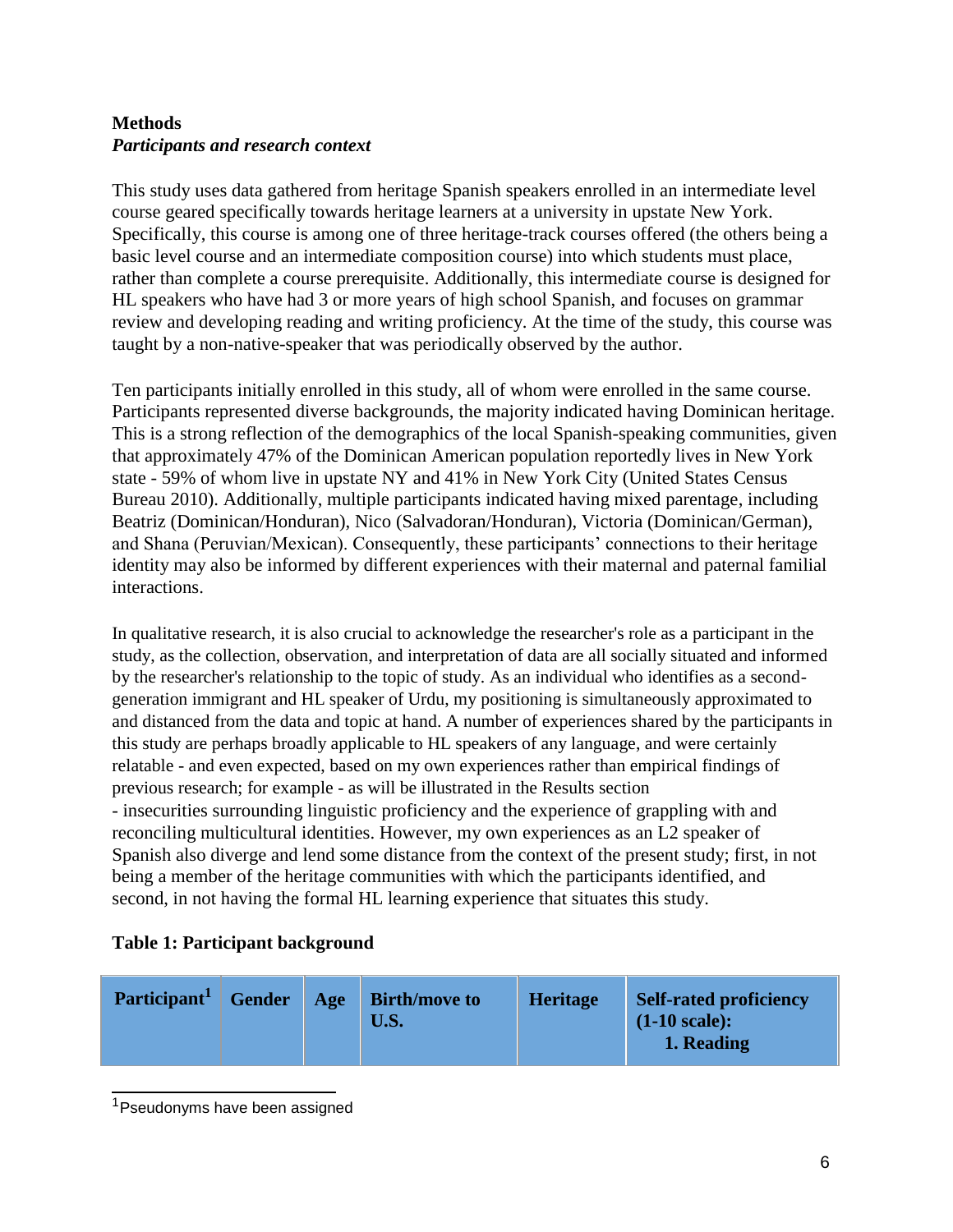# **Methods** *Participants and research context*

This study uses data gathered from heritage Spanish speakers enrolled in an intermediate level course geared specifically towards heritage learners at a university in upstate New York. Specifically, this course is among one of three heritage-track courses offered (the others being a basic level course and an intermediate composition course) into which students must place, rather than complete a course prerequisite. Additionally, this intermediate course is designed for HL speakers who have had 3 or more years of high school Spanish, and focuses on grammar review and developing reading and writing proficiency. At the time of the study, this course was taught by a non-native-speaker that was periodically observed by the author.

Ten participants initially enrolled in this study, all of whom were enrolled in the same course. Participants represented diverse backgrounds, the majority indicated having Dominican heritage. This is a strong reflection of the demographics of the local Spanish-speaking communities, given that approximately 47% of the Dominican American population reportedly lives in New York state - 59% of whom live in upstate NY and 41% in New York City (United States Census Bureau 2010). Additionally, multiple participants indicated having mixed parentage, including Beatriz (Dominican/Honduran), Nico (Salvadoran/Honduran), Victoria (Dominican/German), and Shana (Peruvian/Mexican). Consequently, these participants' connections to their heritage identity may also be informed by different experiences with their maternal and paternal familial interactions.

In qualitative research, it is also crucial to acknowledge the researcher's role as a participant in the study, as the collection, observation, and interpretation of data are all socially situated and informed by the researcher's relationship to the topic of study. As an individual who identifies as a secondgeneration immigrant and HL speaker of Urdu, my positioning is simultaneously approximated to and distanced from the data and topic at hand. A number of experiences shared by the participants in this study are perhaps broadly applicable to HL speakers of any language, and were certainly relatable - and even expected, based on my own experiences rather than empirical findings of previous research; for example - as will be illustrated in the Results section - insecurities surrounding linguistic proficiency and the experience of grappling with and reconciling multicultural identities. However, my own experiences as an L2 speaker of Spanish also diverge and lend some distance from the context of the present study; first, in not being a member of the heritage communities with which the participants identified, and second, in not having the formal HL learning experience that situates this study.

#### **Table 1: Participant background**

| Participant <sup>1</sup> | Gender | Age | <b>Birth/move to</b><br>U.S. | <b>Heritage</b> | <b>Self-rated proficiency</b><br>$(1-10 \text{ scale})$ :<br>1. Reading |
|--------------------------|--------|-----|------------------------------|-----------------|-------------------------------------------------------------------------|
|--------------------------|--------|-----|------------------------------|-----------------|-------------------------------------------------------------------------|

<sup>1</sup> Pseudonyms have been assigned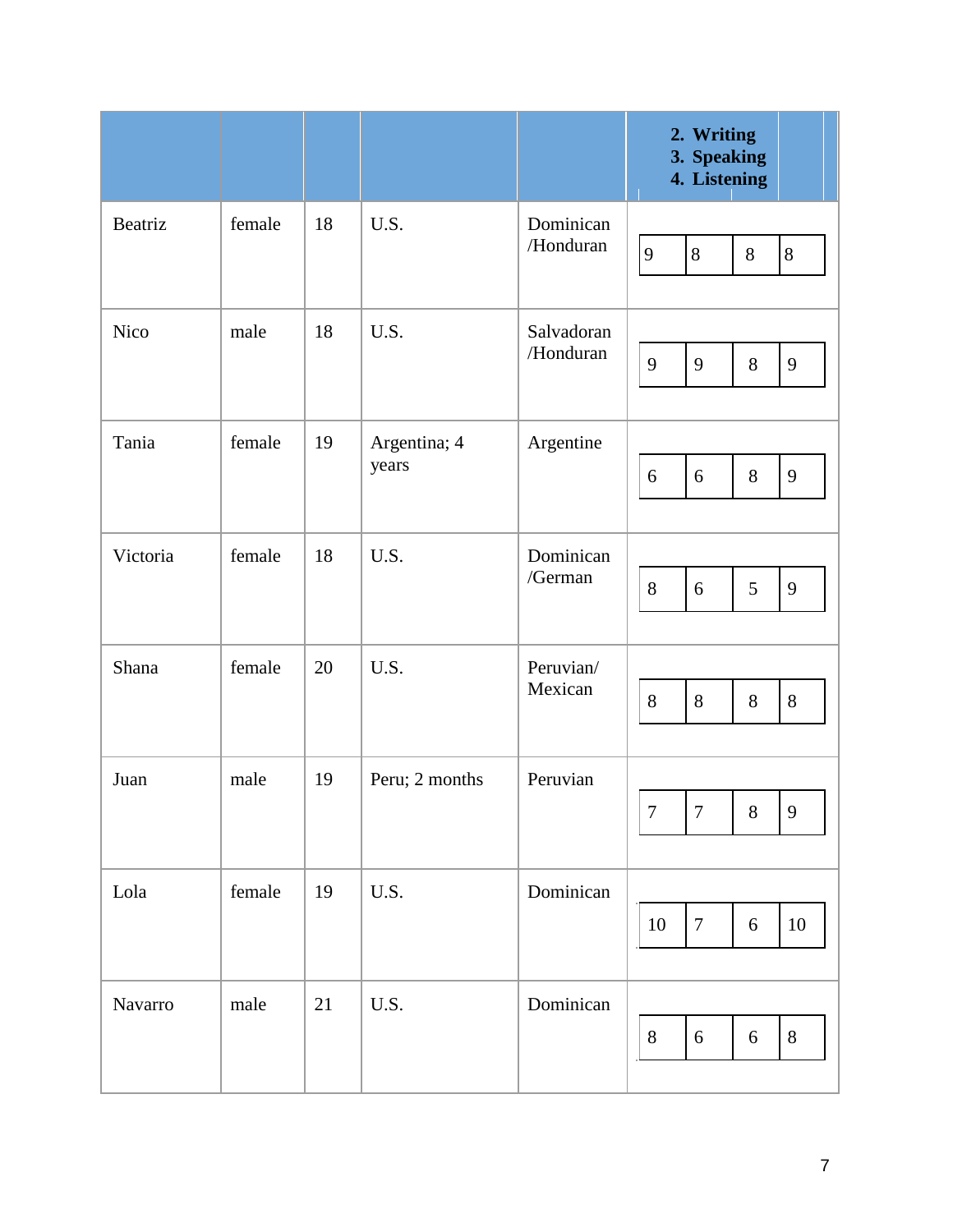|             |        |    |                       |                         | <b>Writing</b><br>2.<br>3.<br><b>Speaking</b><br><b>Listening</b><br>4. |  |  |
|-------------|--------|----|-----------------------|-------------------------|-------------------------------------------------------------------------|--|--|
| Beatriz     | female | 18 | U.S.                  | Dominican<br>/Honduran  | 9<br>8<br>$8\,$<br>$8\,$                                                |  |  |
| <b>Nico</b> | male   | 18 | U.S.                  | Salvadoran<br>/Honduran | 9<br>9<br>$8\,$<br>9                                                    |  |  |
| Tania       | female | 19 | Argentina; 4<br>years | Argentine               | $8\,$<br>6<br>9<br>6                                                    |  |  |
| Victoria    | female | 18 | U.S.                  | Dominican<br>/German    | 8<br>5<br>6<br>9                                                        |  |  |
| Shana       | female | 20 | U.S.                  | Peruvian/<br>Mexican    | 8<br>$8\,$<br>8<br>$8\,$                                                |  |  |
| Juan        | male   | 19 | Peru; 2 months        | Peruvian                | $\boldsymbol{7}$<br>$\boldsymbol{7}$<br>$8\,$<br>$\mathbf{9}$           |  |  |
| Lola        | female | 19 | U.S.                  | Dominican               | $\boldsymbol{7}$<br>10<br>$\sqrt{6}$<br>10                              |  |  |
| Navarro     | male   | 21 | U.S.                  | Dominican               | $\sqrt{6}$<br>8<br>$8\,$<br>$\sqrt{6}$                                  |  |  |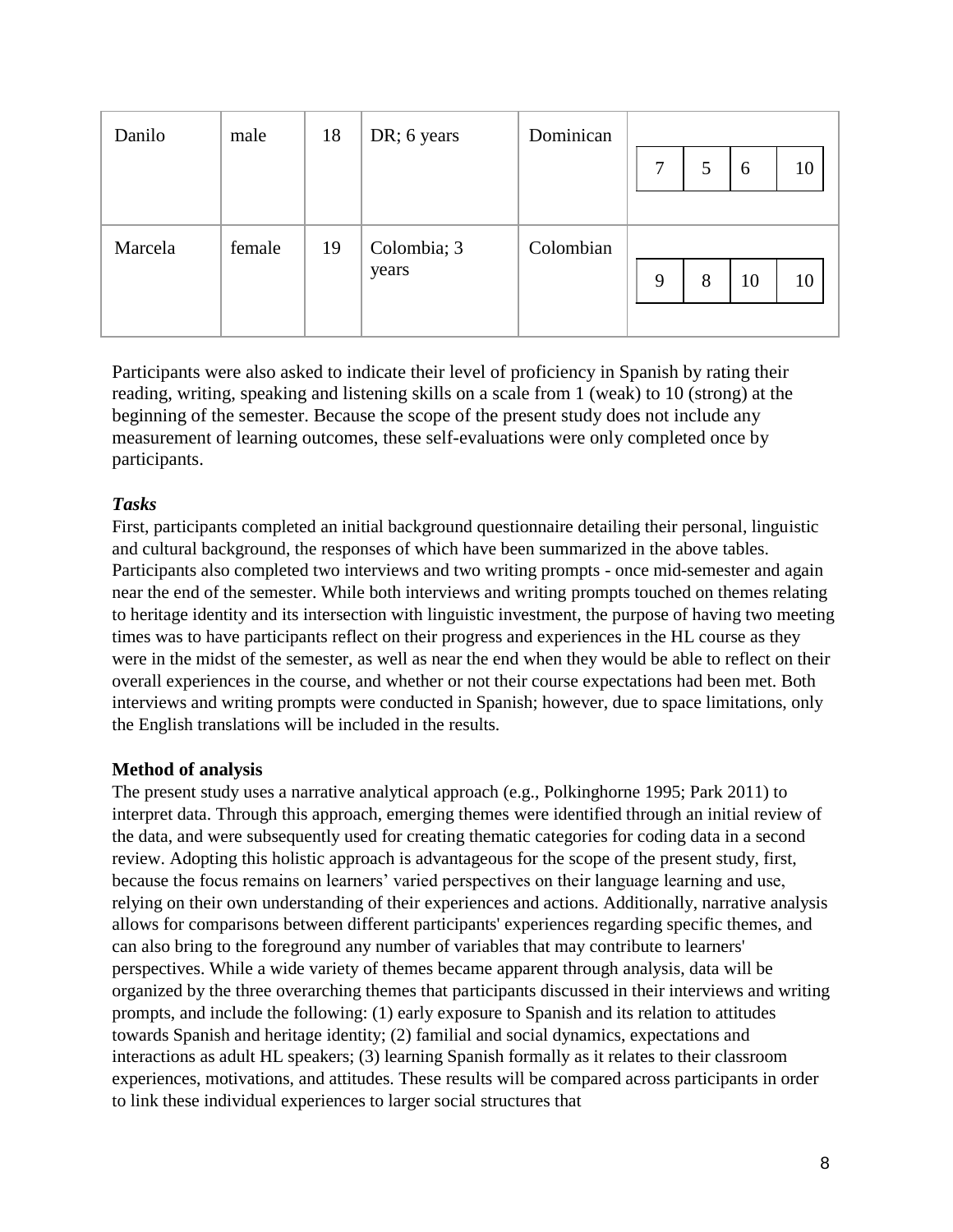| Danilo  | male   | 18 | DR; 6 years          | Dominican |   |   |    |    |
|---------|--------|----|----------------------|-----------|---|---|----|----|
|         |        |    |                      |           | 7 | 5 | 6  | 10 |
|         |        |    |                      |           |   |   |    |    |
| Marcela | female | 19 | Colombia; 3<br>years | Colombian |   |   |    |    |
|         |        |    |                      |           | 9 | 8 | 10 | 10 |
|         |        |    |                      |           |   |   |    |    |

Participants were also asked to indicate their level of proficiency in Spanish by rating their reading, writing, speaking and listening skills on a scale from 1 (weak) to 10 (strong) at the beginning of the semester. Because the scope of the present study does not include any measurement of learning outcomes, these self-evaluations were only completed once by participants.

#### *Tasks*

First, participants completed an initial background questionnaire detailing their personal, linguistic and cultural background, the responses of which have been summarized in the above tables. Participants also completed two interviews and two writing prompts - once mid-semester and again near the end of the semester. While both interviews and writing prompts touched on themes relating to heritage identity and its intersection with linguistic investment, the purpose of having two meeting times was to have participants reflect on their progress and experiences in the HL course as they were in the midst of the semester, as well as near the end when they would be able to reflect on their overall experiences in the course, and whether or not their course expectations had been met. Both interviews and writing prompts were conducted in Spanish; however, due to space limitations, only the English translations will be included in the results.

#### **Method of analysis**

The present study uses a narrative analytical approach (e.g., Polkinghorne 1995; Park 2011) to interpret data. Through this approach, emerging themes were identified through an initial review of the data, and were subsequently used for creating thematic categories for coding data in a second review. Adopting this holistic approach is advantageous for the scope of the present study, first, because the focus remains on learners' varied perspectives on their language learning and use, relying on their own understanding of their experiences and actions. Additionally, narrative analysis allows for comparisons between different participants' experiences regarding specific themes, and can also bring to the foreground any number of variables that may contribute to learners' perspectives. While a wide variety of themes became apparent through analysis, data will be organized by the three overarching themes that participants discussed in their interviews and writing prompts, and include the following: (1) early exposure to Spanish and its relation to attitudes towards Spanish and heritage identity; (2) familial and social dynamics, expectations and interactions as adult HL speakers; (3) learning Spanish formally as it relates to their classroom experiences, motivations, and attitudes. These results will be compared across participants in order to link these individual experiences to larger social structures that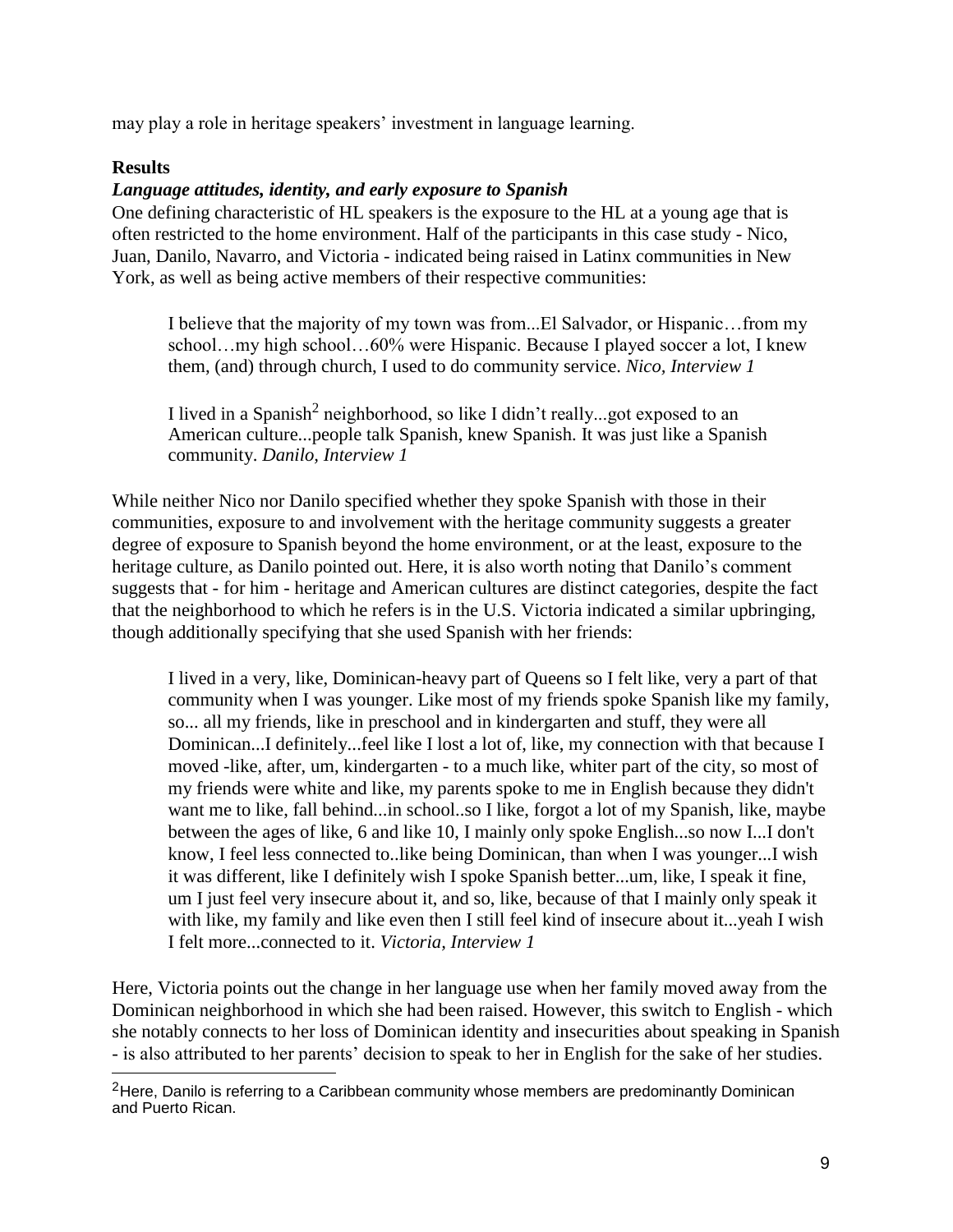may play a role in heritage speakers' investment in language learning.

#### **Results**

#### *Language attitudes, identity, and early exposure to Spanish*

One defining characteristic of HL speakers is the exposure to the HL at a young age that is often restricted to the home environment. Half of the participants in this case study - Nico, Juan, Danilo, Navarro, and Victoria - indicated being raised in Latinx communities in New York, as well as being active members of their respective communities:

I believe that the majority of my town was from...El Salvador, or Hispanic…from my school…my high school…60% were Hispanic. Because I played soccer a lot, I knew them, (and) through church, I used to do community service. *Nico, Interview 1*

I lived in a Spanish<sup>2</sup> neighborhood, so like I didn't really...got exposed to an American culture...people talk Spanish, knew Spanish. It was just like a Spanish community. *Danilo, Interview 1*

While neither Nico nor Danilo specified whether they spoke Spanish with those in their communities, exposure to and involvement with the heritage community suggests a greater degree of exposure to Spanish beyond the home environment, or at the least, exposure to the heritage culture, as Danilo pointed out. Here, it is also worth noting that Danilo's comment suggests that - for him - heritage and American cultures are distinct categories, despite the fact that the neighborhood to which he refers is in the U.S. Victoria indicated a similar upbringing, though additionally specifying that she used Spanish with her friends:

I lived in a very, like, Dominican-heavy part of Queens so I felt like, very a part of that community when I was younger. Like most of my friends spoke Spanish like my family, so... all my friends, like in preschool and in kindergarten and stuff, they were all Dominican...I definitely...feel like I lost a lot of, like, my connection with that because I moved -like, after, um, kindergarten - to a much like, whiter part of the city, so most of my friends were white and like, my parents spoke to me in English because they didn't want me to like, fall behind...in school..so I like, forgot a lot of my Spanish, like, maybe between the ages of like, 6 and like 10, I mainly only spoke English...so now I...I don't know, I feel less connected to..like being Dominican, than when I was younger...I wish it was different, like I definitely wish I spoke Spanish better...um, like, I speak it fine, um I just feel very insecure about it, and so, like, because of that I mainly only speak it with like, my family and like even then I still feel kind of insecure about it...yeah I wish I felt more...connected to it. *Victoria, Interview 1*

Here, Victoria points out the change in her language use when her family moved away from the Dominican neighborhood in which she had been raised. However, this switch to English - which she notably connects to her loss of Dominican identity and insecurities about speaking in Spanish - is also attributed to her parents' decision to speak to her in English for the sake of her studies.

 $2$ Here, Danilo is referring to a Caribbean community whose members are predominantly Dominican and Puerto Rican.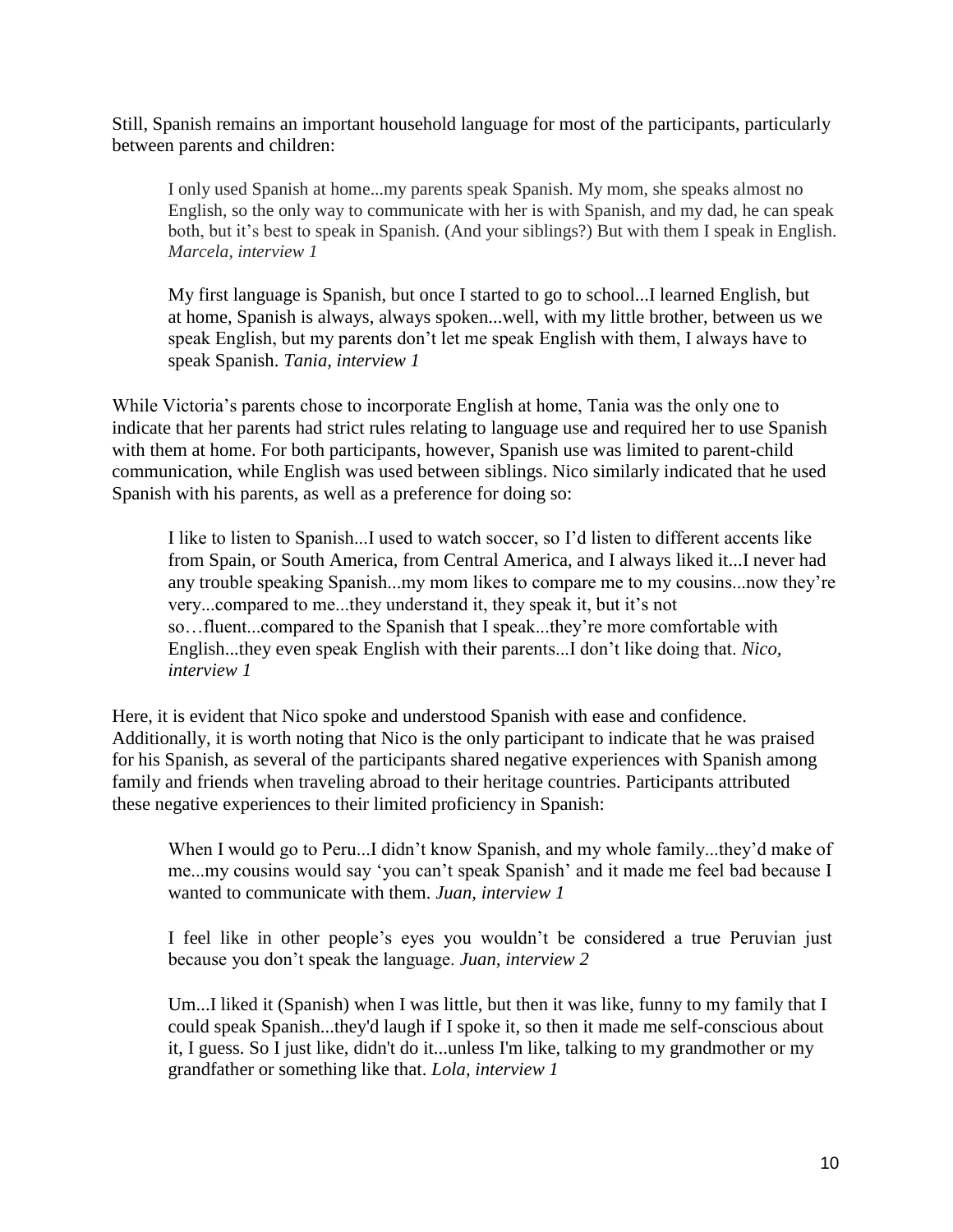Still, Spanish remains an important household language for most of the participants, particularly between parents and children:

I only used Spanish at home...my parents speak Spanish. My mom, she speaks almost no English, so the only way to communicate with her is with Spanish, and my dad, he can speak both, but it's best to speak in Spanish. (And your siblings?) But with them I speak in English. *Marcela, interview 1*

My first language is Spanish, but once I started to go to school...I learned English, but at home, Spanish is always, always spoken...well, with my little brother, between us we speak English, but my parents don't let me speak English with them, I always have to speak Spanish. *Tania, interview 1*

While Victoria's parents chose to incorporate English at home, Tania was the only one to indicate that her parents had strict rules relating to language use and required her to use Spanish with them at home. For both participants, however, Spanish use was limited to parent-child communication, while English was used between siblings. Nico similarly indicated that he used Spanish with his parents, as well as a preference for doing so:

I like to listen to Spanish...I used to watch soccer, so I'd listen to different accents like from Spain, or South America, from Central America, and I always liked it...I never had any trouble speaking Spanish...my mom likes to compare me to my cousins...now they're very...compared to me...they understand it, they speak it, but it's not so…fluent...compared to the Spanish that I speak...they're more comfortable with English...they even speak English with their parents...I don't like doing that. *Nico, interview 1*

Here, it is evident that Nico spoke and understood Spanish with ease and confidence. Additionally, it is worth noting that Nico is the only participant to indicate that he was praised for his Spanish, as several of the participants shared negative experiences with Spanish among family and friends when traveling abroad to their heritage countries. Participants attributed these negative experiences to their limited proficiency in Spanish:

When I would go to Peru...I didn't know Spanish, and my whole family...they'd make of me...my cousins would say 'you can't speak Spanish' and it made me feel bad because I wanted to communicate with them. *Juan, interview 1*

I feel like in other people's eyes you wouldn't be considered a true Peruvian just because you don't speak the language. *Juan, interview 2*

Um...I liked it (Spanish) when I was little, but then it was like, funny to my family that I could speak Spanish...they'd laugh if I spoke it, so then it made me self-conscious about it, I guess. So I just like, didn't do it...unless I'm like, talking to my grandmother or my grandfather or something like that. *Lola, interview 1*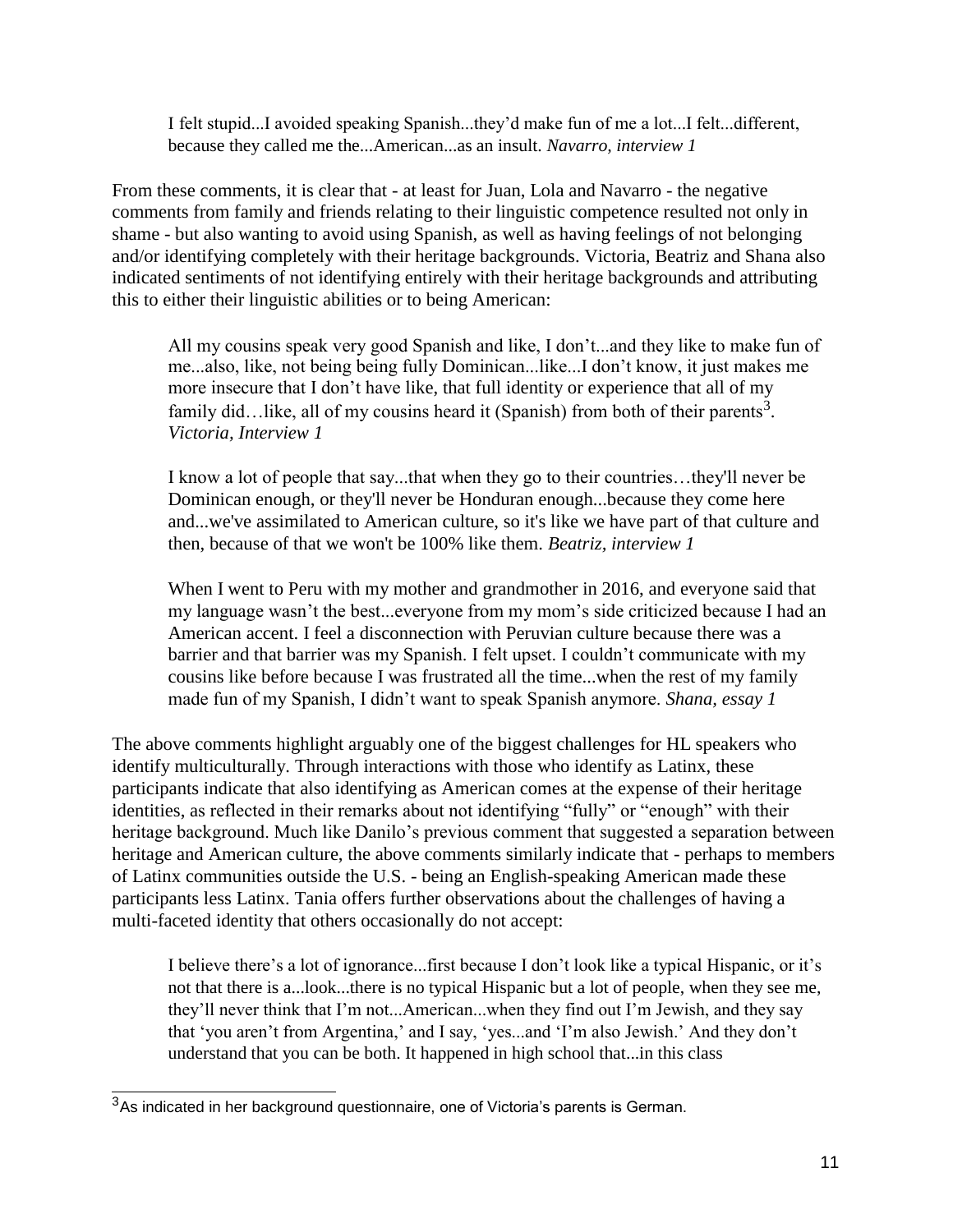I felt stupid...I avoided speaking Spanish...they'd make fun of me a lot...I felt...different, because they called me the...American...as an insult. *Navarro, interview 1*

From these comments, it is clear that - at least for Juan, Lola and Navarro - the negative comments from family and friends relating to their linguistic competence resulted not only in shame - but also wanting to avoid using Spanish, as well as having feelings of not belonging and/or identifying completely with their heritage backgrounds. Victoria, Beatriz and Shana also indicated sentiments of not identifying entirely with their heritage backgrounds and attributing this to either their linguistic abilities or to being American:

All my cousins speak very good Spanish and like, I don't...and they like to make fun of me...also, like, not being being fully Dominican...like...I don't know, it just makes me more insecure that I don't have like, that full identity or experience that all of my family did...like, all of my cousins heard it (Spanish) from both of their parents<sup>3</sup>. *Victoria, Interview 1*

I know a lot of people that say...that when they go to their countries…they'll never be Dominican enough, or they'll never be Honduran enough...because they come here and...we've assimilated to American culture, so it's like we have part of that culture and then, because of that we won't be 100% like them. *Beatriz, interview 1*

When I went to Peru with my mother and grandmother in 2016, and everyone said that my language wasn't the best...everyone from my mom's side criticized because I had an American accent. I feel a disconnection with Peruvian culture because there was a barrier and that barrier was my Spanish. I felt upset. I couldn't communicate with my cousins like before because I was frustrated all the time...when the rest of my family made fun of my Spanish, I didn't want to speak Spanish anymore. *Shana, essay 1*

The above comments highlight arguably one of the biggest challenges for HL speakers who identify multiculturally. Through interactions with those who identify as Latinx, these participants indicate that also identifying as American comes at the expense of their heritage identities, as reflected in their remarks about not identifying "fully" or "enough" with their heritage background. Much like Danilo's previous comment that suggested a separation between heritage and American culture, the above comments similarly indicate that - perhaps to members of Latinx communities outside the U.S. - being an English-speaking American made these participants less Latinx. Tania offers further observations about the challenges of having a multi-faceted identity that others occasionally do not accept:

I believe there's a lot of ignorance...first because I don't look like a typical Hispanic, or it's not that there is a...look...there is no typical Hispanic but a lot of people, when they see me, they'll never think that I'm not...American...when they find out I'm Jewish, and they say that 'you aren't from Argentina,' and I say, 'yes...and 'I'm also Jewish.' And they don't understand that you can be both. It happened in high school that...in this class

 $3As$  indicated in her background questionnaire, one of Victoria's parents is German.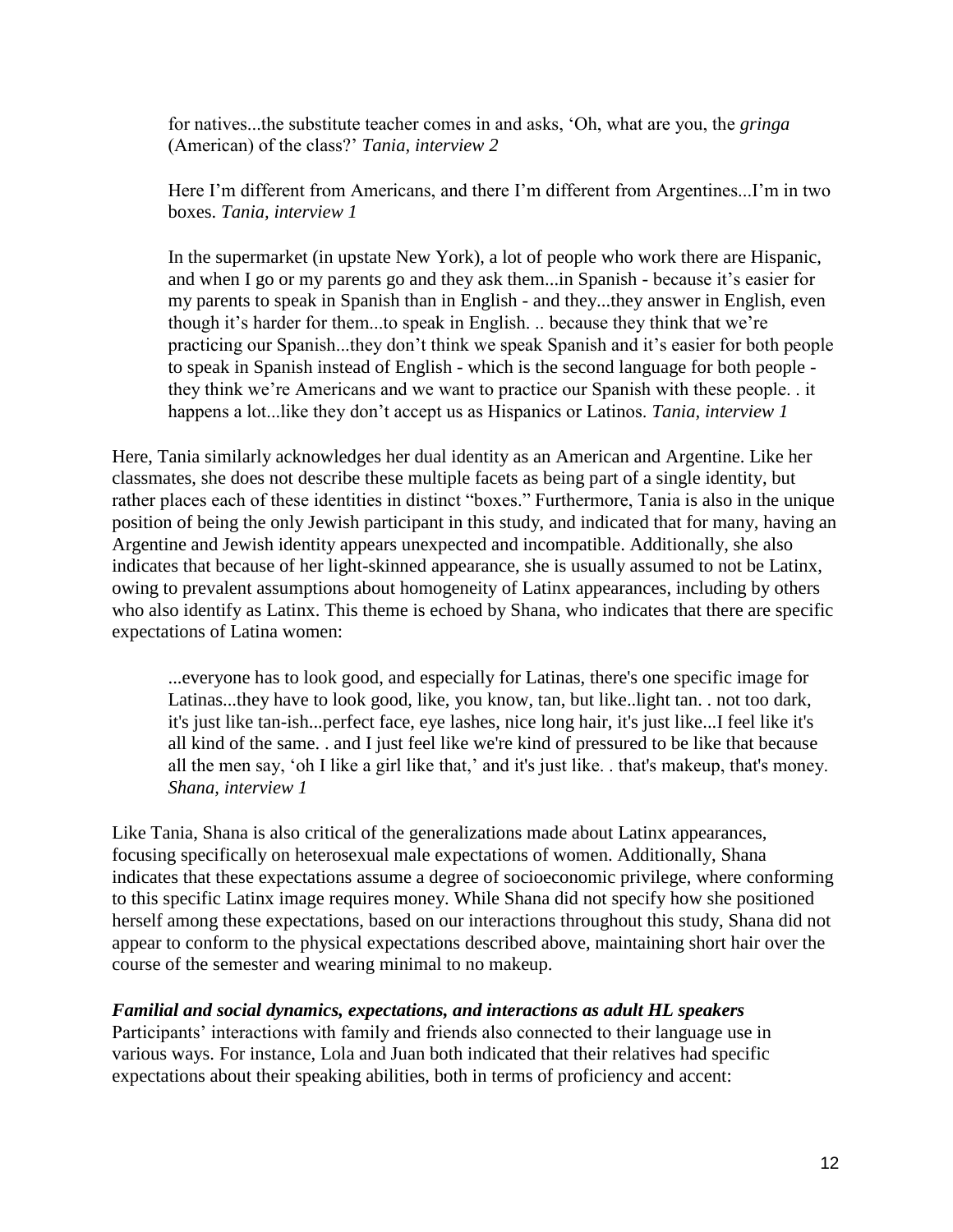for natives...the substitute teacher comes in and asks, 'Oh, what are you, the *gringa* (American) of the class?' *Tania, interview 2*

Here I'm different from Americans, and there I'm different from Argentines...I'm in two boxes. *Tania, interview 1*

In the supermarket (in upstate New York), a lot of people who work there are Hispanic, and when I go or my parents go and they ask them...in Spanish - because it's easier for my parents to speak in Spanish than in English - and they...they answer in English, even though it's harder for them...to speak in English. .. because they think that we're practicing our Spanish...they don't think we speak Spanish and it's easier for both people to speak in Spanish instead of English - which is the second language for both people they think we're Americans and we want to practice our Spanish with these people. . it happens a lot...like they don't accept us as Hispanics or Latinos. *Tania, interview 1*

Here, Tania similarly acknowledges her dual identity as an American and Argentine. Like her classmates, she does not describe these multiple facets as being part of a single identity, but rather places each of these identities in distinct "boxes." Furthermore, Tania is also in the unique position of being the only Jewish participant in this study, and indicated that for many, having an Argentine and Jewish identity appears unexpected and incompatible. Additionally, she also indicates that because of her light-skinned appearance, she is usually assumed to not be Latinx, owing to prevalent assumptions about homogeneity of Latinx appearances, including by others who also identify as Latinx. This theme is echoed by Shana, who indicates that there are specific expectations of Latina women:

...everyone has to look good, and especially for Latinas, there's one specific image for Latinas...they have to look good, like, you know, tan, but like..light tan. . not too dark, it's just like tan-ish...perfect face, eye lashes, nice long hair, it's just like...I feel like it's all kind of the same. . and I just feel like we're kind of pressured to be like that because all the men say, 'oh I like a girl like that,' and it's just like. . that's makeup, that's money. *Shana, interview 1*

Like Tania, Shana is also critical of the generalizations made about Latinx appearances, focusing specifically on heterosexual male expectations of women. Additionally, Shana indicates that these expectations assume a degree of socioeconomic privilege, where conforming to this specific Latinx image requires money. While Shana did not specify how she positioned herself among these expectations, based on our interactions throughout this study, Shana did not appear to conform to the physical expectations described above, maintaining short hair over the course of the semester and wearing minimal to no makeup.

#### *Familial and social dynamics, expectations, and interactions as adult HL speakers*

Participants' interactions with family and friends also connected to their language use in various ways. For instance, Lola and Juan both indicated that their relatives had specific expectations about their speaking abilities, both in terms of proficiency and accent: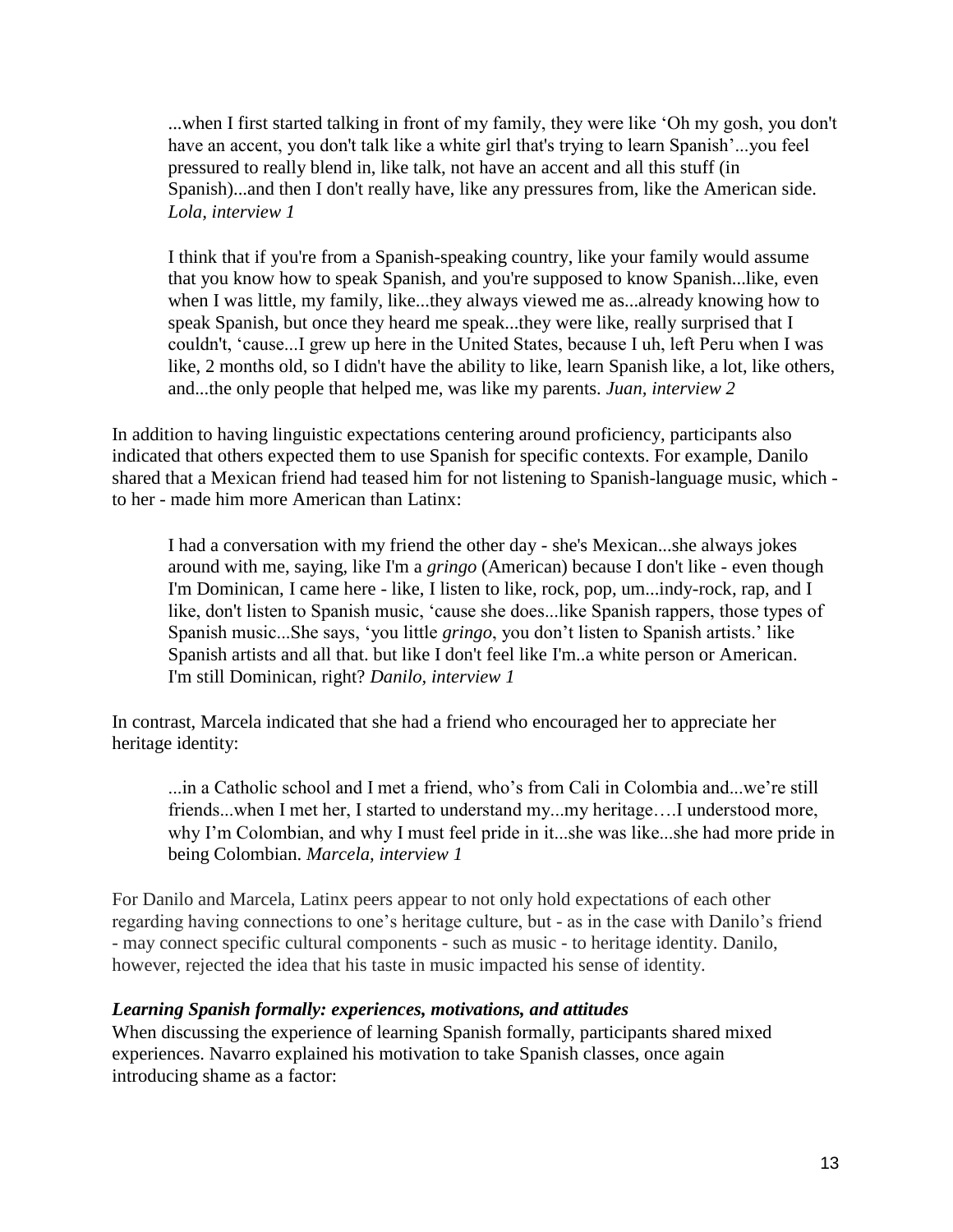...when I first started talking in front of my family, they were like 'Oh my gosh, you don't have an accent, you don't talk like a white girl that's trying to learn Spanish'...you feel pressured to really blend in, like talk, not have an accent and all this stuff (in Spanish)...and then I don't really have, like any pressures from, like the American side. *Lola, interview 1*

I think that if you're from a Spanish-speaking country, like your family would assume that you know how to speak Spanish, and you're supposed to know Spanish...like, even when I was little, my family, like...they always viewed me as...already knowing how to speak Spanish, but once they heard me speak...they were like, really surprised that I couldn't, 'cause...I grew up here in the United States, because I uh, left Peru when I was like, 2 months old, so I didn't have the ability to like, learn Spanish like, a lot, like others, and...the only people that helped me, was like my parents. *Juan, interview 2*

In addition to having linguistic expectations centering around proficiency, participants also indicated that others expected them to use Spanish for specific contexts. For example, Danilo shared that a Mexican friend had teased him for not listening to Spanish-language music, which to her - made him more American than Latinx:

I had a conversation with my friend the other day - she's Mexican...she always jokes around with me, saying, like I'm a *gringo* (American) because I don't like - even though I'm Dominican, I came here - like, I listen to like, rock, pop, um...indy-rock, rap, and I like, don't listen to Spanish music, 'cause she does...like Spanish rappers, those types of Spanish music...She says, 'you little *gringo*, you don't listen to Spanish artists.' like Spanish artists and all that. but like I don't feel like I'm..a white person or American. I'm still Dominican, right? *Danilo, interview 1*

In contrast, Marcela indicated that she had a friend who encouraged her to appreciate her heritage identity:

...in a Catholic school and I met a friend, who's from Cali in Colombia and...we're still friends...when I met her, I started to understand my...my heritage….I understood more, why I'm Colombian, and why I must feel pride in it...she was like...she had more pride in being Colombian. *Marcela, interview 1*

For Danilo and Marcela, Latinx peers appear to not only hold expectations of each other regarding having connections to one's heritage culture, but - as in the case with Danilo's friend - may connect specific cultural components - such as music - to heritage identity. Danilo, however, rejected the idea that his taste in music impacted his sense of identity.

#### *Learning Spanish formally: experiences, motivations, and attitudes*

When discussing the experience of learning Spanish formally, participants shared mixed experiences. Navarro explained his motivation to take Spanish classes, once again introducing shame as a factor: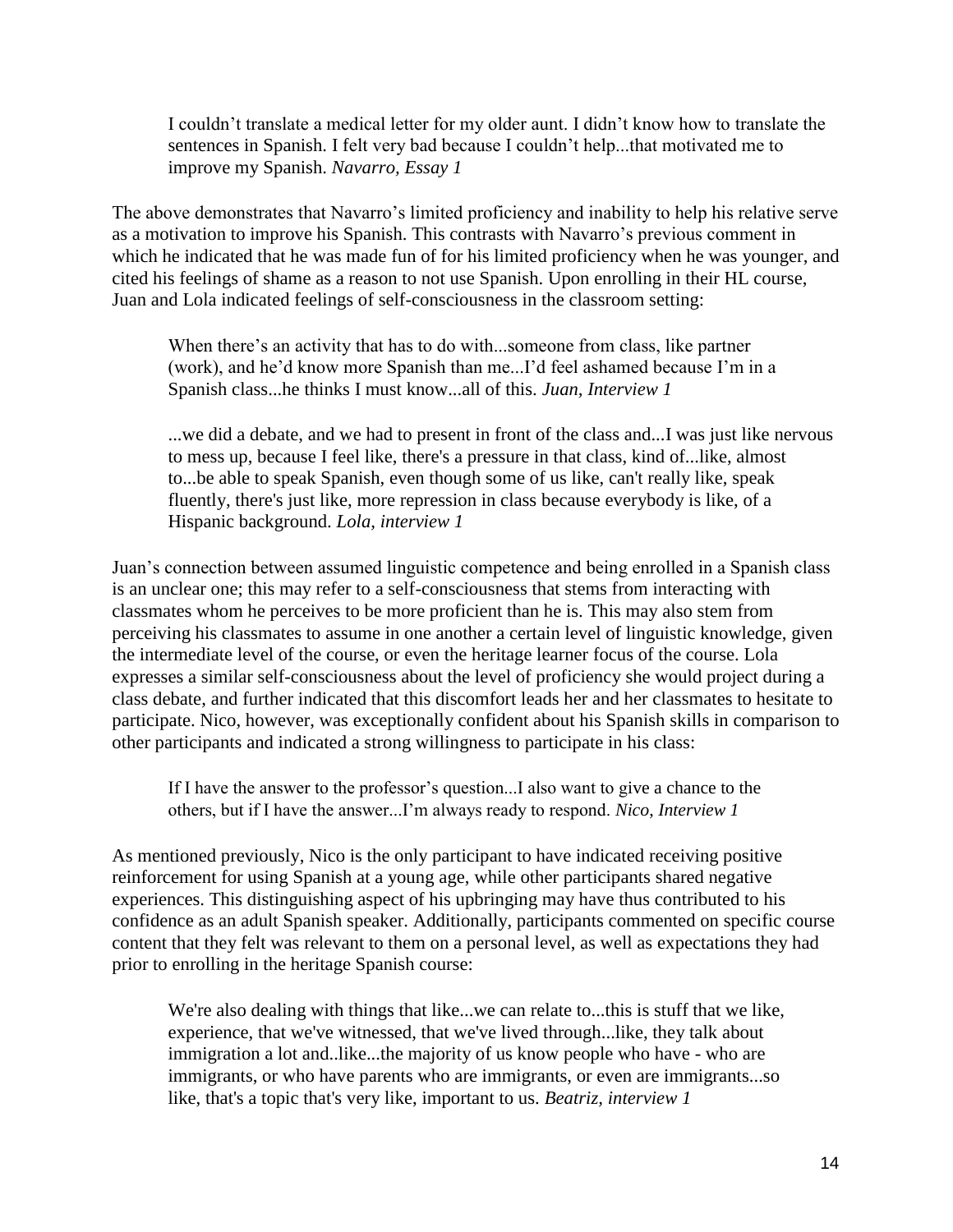I couldn't translate a medical letter for my older aunt. I didn't know how to translate the sentences in Spanish. I felt very bad because I couldn't help...that motivated me to improve my Spanish. *Navarro, Essay 1*

The above demonstrates that Navarro's limited proficiency and inability to help his relative serve as a motivation to improve his Spanish. This contrasts with Navarro's previous comment in which he indicated that he was made fun of for his limited proficiency when he was younger, and cited his feelings of shame as a reason to not use Spanish. Upon enrolling in their HL course, Juan and Lola indicated feelings of self-consciousness in the classroom setting:

When there's an activity that has to do with...someone from class, like partner (work), and he'd know more Spanish than me...I'd feel ashamed because I'm in a Spanish class...he thinks I must know...all of this. *Juan, Interview 1*

...we did a debate, and we had to present in front of the class and...I was just like nervous to mess up, because I feel like, there's a pressure in that class, kind of...like, almost to...be able to speak Spanish, even though some of us like, can't really like, speak fluently, there's just like, more repression in class because everybody is like, of a Hispanic background. *Lola, interview 1*

Juan's connection between assumed linguistic competence and being enrolled in a Spanish class is an unclear one; this may refer to a self-consciousness that stems from interacting with classmates whom he perceives to be more proficient than he is. This may also stem from perceiving his classmates to assume in one another a certain level of linguistic knowledge, given the intermediate level of the course, or even the heritage learner focus of the course. Lola expresses a similar self-consciousness about the level of proficiency she would project during a class debate, and further indicated that this discomfort leads her and her classmates to hesitate to participate. Nico, however, was exceptionally confident about his Spanish skills in comparison to other participants and indicated a strong willingness to participate in his class:

If I have the answer to the professor's question...I also want to give a chance to the others, but if I have the answer...I'm always ready to respond. *Nico*, *Interview 1*

As mentioned previously, Nico is the only participant to have indicated receiving positive reinforcement for using Spanish at a young age, while other participants shared negative experiences. This distinguishing aspect of his upbringing may have thus contributed to his confidence as an adult Spanish speaker. Additionally, participants commented on specific course content that they felt was relevant to them on a personal level, as well as expectations they had prior to enrolling in the heritage Spanish course:

We're also dealing with things that like...we can relate to...this is stuff that we like, experience, that we've witnessed, that we've lived through...like, they talk about immigration a lot and..like...the majority of us know people who have - who are immigrants, or who have parents who are immigrants, or even are immigrants...so like, that's a topic that's very like, important to us. *Beatriz, interview 1*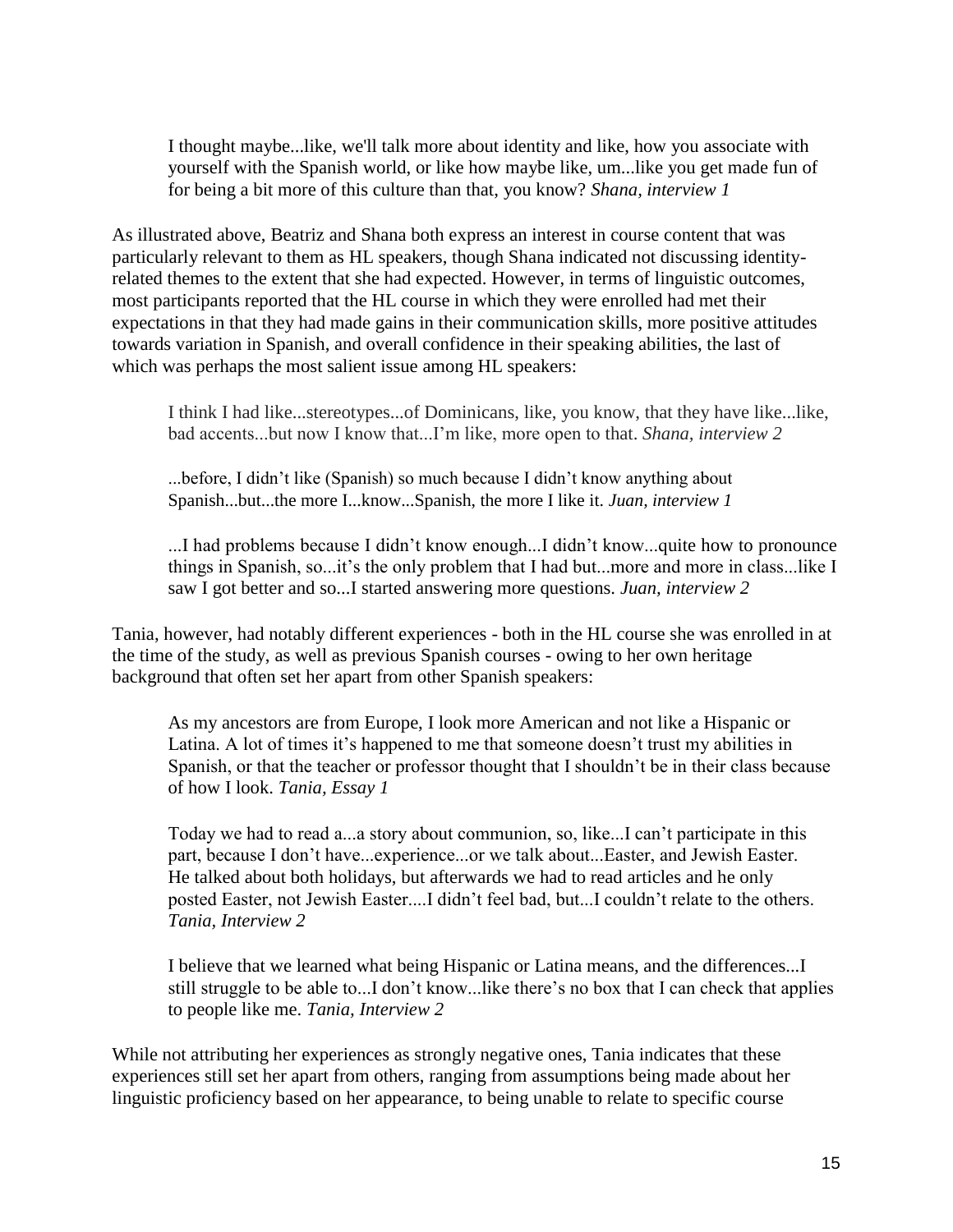I thought maybe...like, we'll talk more about identity and like, how you associate with yourself with the Spanish world, or like how maybe like, um...like you get made fun of for being a bit more of this culture than that, you know? *Shana, interview 1*

As illustrated above, Beatriz and Shana both express an interest in course content that was particularly relevant to them as HL speakers, though Shana indicated not discussing identityrelated themes to the extent that she had expected. However, in terms of linguistic outcomes, most participants reported that the HL course in which they were enrolled had met their expectations in that they had made gains in their communication skills, more positive attitudes towards variation in Spanish, and overall confidence in their speaking abilities, the last of which was perhaps the most salient issue among HL speakers:

I think I had like...stereotypes...of Dominicans, like, you know, that they have like...like, bad accents...but now I know that...I'm like, more open to that. *Shana, interview 2*

...before, I didn't like (Spanish) so much because I didn't know anything about Spanish...but...the more I...know...Spanish, the more I like it. *Juan, interview 1*

...I had problems because I didn't know enough...I didn't know...quite how to pronounce things in Spanish, so...it's the only problem that I had but...more and more in class...like I saw I got better and so...I started answering more questions. *Juan, interview 2*

Tania, however, had notably different experiences - both in the HL course she was enrolled in at the time of the study, as well as previous Spanish courses - owing to her own heritage background that often set her apart from other Spanish speakers:

As my ancestors are from Europe, I look more American and not like a Hispanic or Latina. A lot of times it's happened to me that someone doesn't trust my abilities in Spanish, or that the teacher or professor thought that I shouldn't be in their class because of how I look. *Tania, Essay 1*

Today we had to read a...a story about communion, so, like...I can't participate in this part, because I don't have...experience...or we talk about...Easter, and Jewish Easter. He talked about both holidays, but afterwards we had to read articles and he only posted Easter, not Jewish Easter....I didn't feel bad, but...I couldn't relate to the others. *Tania, Interview 2*

I believe that we learned what being Hispanic or Latina means, and the differences...I still struggle to be able to...I don't know...like there's no box that I can check that applies to people like me. *Tania, Interview 2*

While not attributing her experiences as strongly negative ones. Tania indicates that these experiences still set her apart from others, ranging from assumptions being made about her linguistic proficiency based on her appearance, to being unable to relate to specific course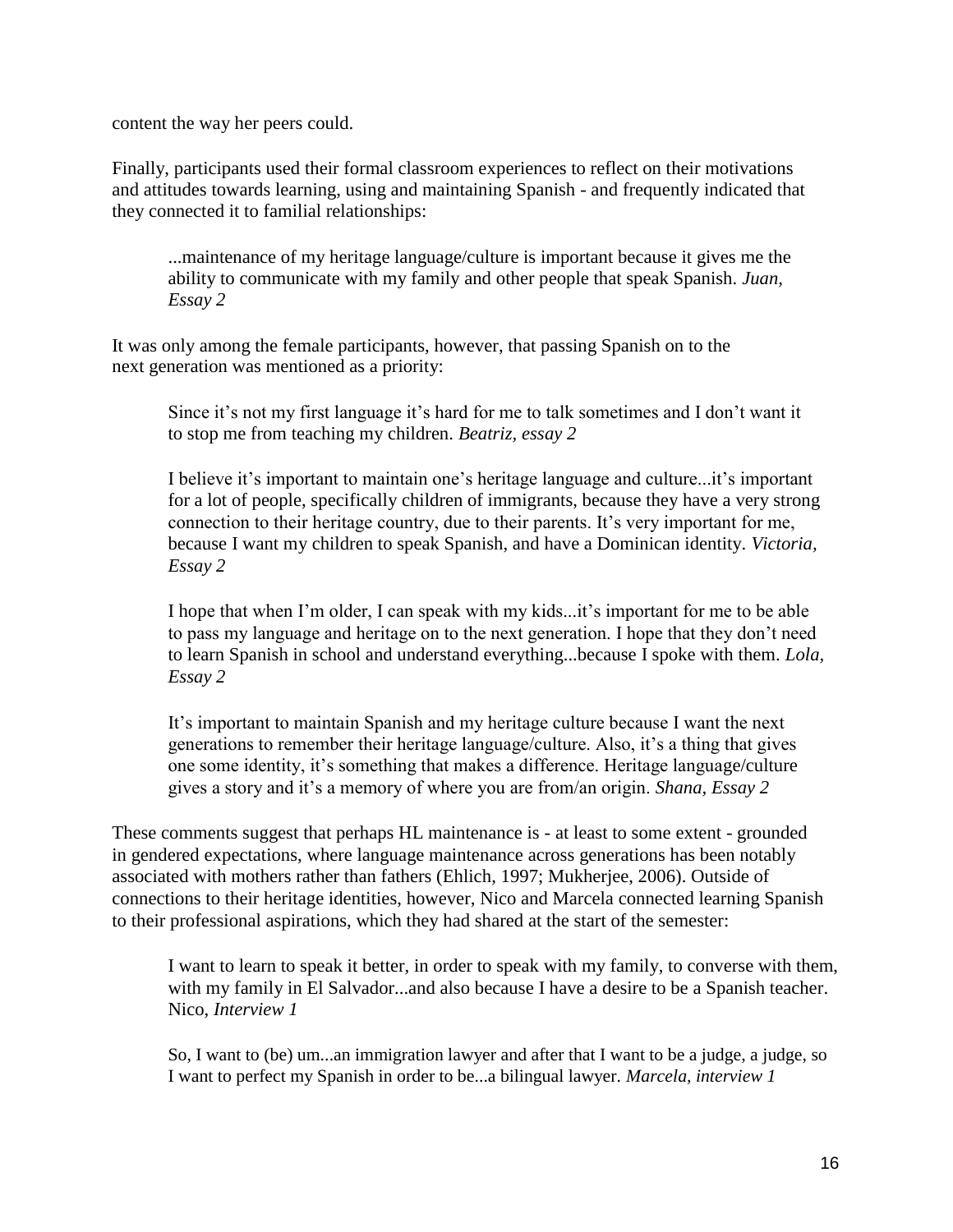content the way her peers could.

Finally, participants used their formal classroom experiences to reflect on their motivations and attitudes towards learning, using and maintaining Spanish - and frequently indicated that they connected it to familial relationships:

...maintenance of my heritage language/culture is important because it gives me the ability to communicate with my family and other people that speak Spanish. *Juan, Essay 2*

It was only among the female participants, however, that passing Spanish on to the next generation was mentioned as a priority:

Since it's not my first language it's hard for me to talk sometimes and I don't want it to stop me from teaching my children. *Beatriz, essay 2*

I believe it's important to maintain one's heritage language and culture...it's important for a lot of people, specifically children of immigrants, because they have a very strong connection to their heritage country, due to their parents. It's very important for me, because I want my children to speak Spanish, and have a Dominican identity. *Victoria, Essay 2*

I hope that when I'm older, I can speak with my kids...it's important for me to be able to pass my language and heritage on to the next generation. I hope that they don't need to learn Spanish in school and understand everything...because I spoke with them. *Lola, Essay 2*

It's important to maintain Spanish and my heritage culture because I want the next generations to remember their heritage language/culture. Also, it's a thing that gives one some identity, it's something that makes a difference. Heritage language/culture gives a story and it's a memory of where you are from/an origin. *Shana, Essay 2*

These comments suggest that perhaps HL maintenance is - at least to some extent - grounded in gendered expectations, where language maintenance across generations has been notably associated with mothers rather than fathers (Ehlich, 1997; Mukherjee, 2006). Outside of connections to their heritage identities, however, Nico and Marcela connected learning Spanish to their professional aspirations, which they had shared at the start of the semester:

I want to learn to speak it better, in order to speak with my family, to converse with them, with my family in El Salvador...and also because I have a desire to be a Spanish teacher. Nico, *Interview 1*

So, I want to (be) um...an immigration lawyer and after that I want to be a judge, a judge, so I want to perfect my Spanish in order to be...a bilingual lawyer. *Marcela, interview 1*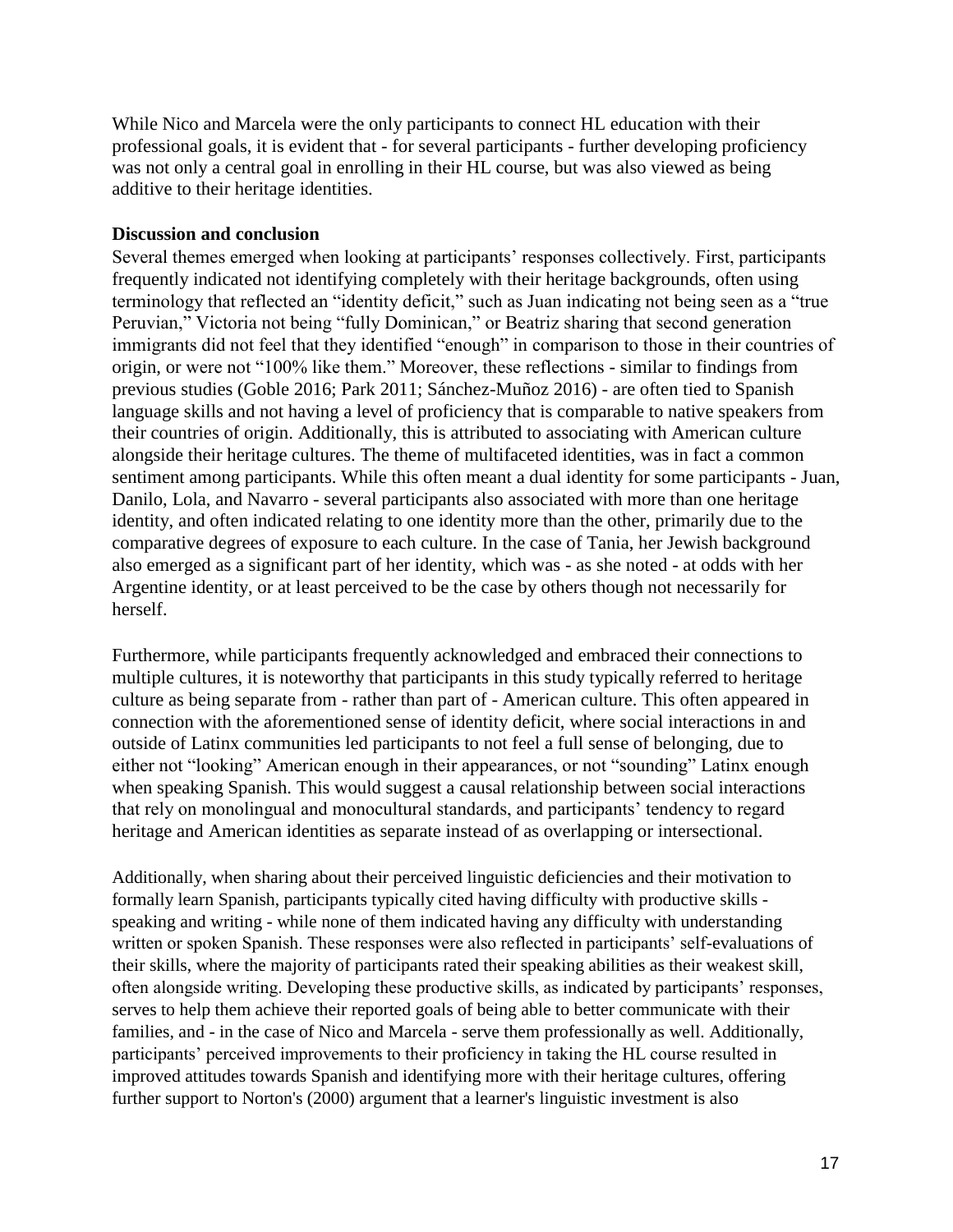While Nico and Marcela were the only participants to connect HL education with their professional goals, it is evident that - for several participants - further developing proficiency was not only a central goal in enrolling in their HL course, but was also viewed as being additive to their heritage identities.

#### **Discussion and conclusion**

Several themes emerged when looking at participants' responses collectively. First, participants frequently indicated not identifying completely with their heritage backgrounds, often using terminology that reflected an "identity deficit," such as Juan indicating not being seen as a "true Peruvian," Victoria not being "fully Dominican," or Beatriz sharing that second generation immigrants did not feel that they identified "enough" in comparison to those in their countries of origin, or were not "100% like them." Moreover, these reflections - similar to findings from previous studies (Goble 2016; Park 2011; Sánchez-Muñoz 2016) - are often tied to Spanish language skills and not having a level of proficiency that is comparable to native speakers from their countries of origin. Additionally, this is attributed to associating with American culture alongside their heritage cultures. The theme of multifaceted identities, was in fact a common sentiment among participants. While this often meant a dual identity for some participants - Juan, Danilo, Lola, and Navarro - several participants also associated with more than one heritage identity, and often indicated relating to one identity more than the other, primarily due to the comparative degrees of exposure to each culture. In the case of Tania, her Jewish background also emerged as a significant part of her identity, which was - as she noted - at odds with her Argentine identity, or at least perceived to be the case by others though not necessarily for herself.

Furthermore, while participants frequently acknowledged and embraced their connections to multiple cultures, it is noteworthy that participants in this study typically referred to heritage culture as being separate from - rather than part of - American culture. This often appeared in connection with the aforementioned sense of identity deficit, where social interactions in and outside of Latinx communities led participants to not feel a full sense of belonging, due to either not "looking" American enough in their appearances, or not "sounding" Latinx enough when speaking Spanish. This would suggest a causal relationship between social interactions that rely on monolingual and monocultural standards, and participants' tendency to regard heritage and American identities as separate instead of as overlapping or intersectional.

Additionally, when sharing about their perceived linguistic deficiencies and their motivation to formally learn Spanish, participants typically cited having difficulty with productive skills speaking and writing - while none of them indicated having any difficulty with understanding written or spoken Spanish. These responses were also reflected in participants' self-evaluations of their skills, where the majority of participants rated their speaking abilities as their weakest skill, often alongside writing. Developing these productive skills, as indicated by participants' responses, serves to help them achieve their reported goals of being able to better communicate with their families, and - in the case of Nico and Marcela - serve them professionally as well. Additionally, participants' perceived improvements to their proficiency in taking the HL course resulted in improved attitudes towards Spanish and identifying more with their heritage cultures, offering further support to Norton's (2000) argument that a learner's linguistic investment is also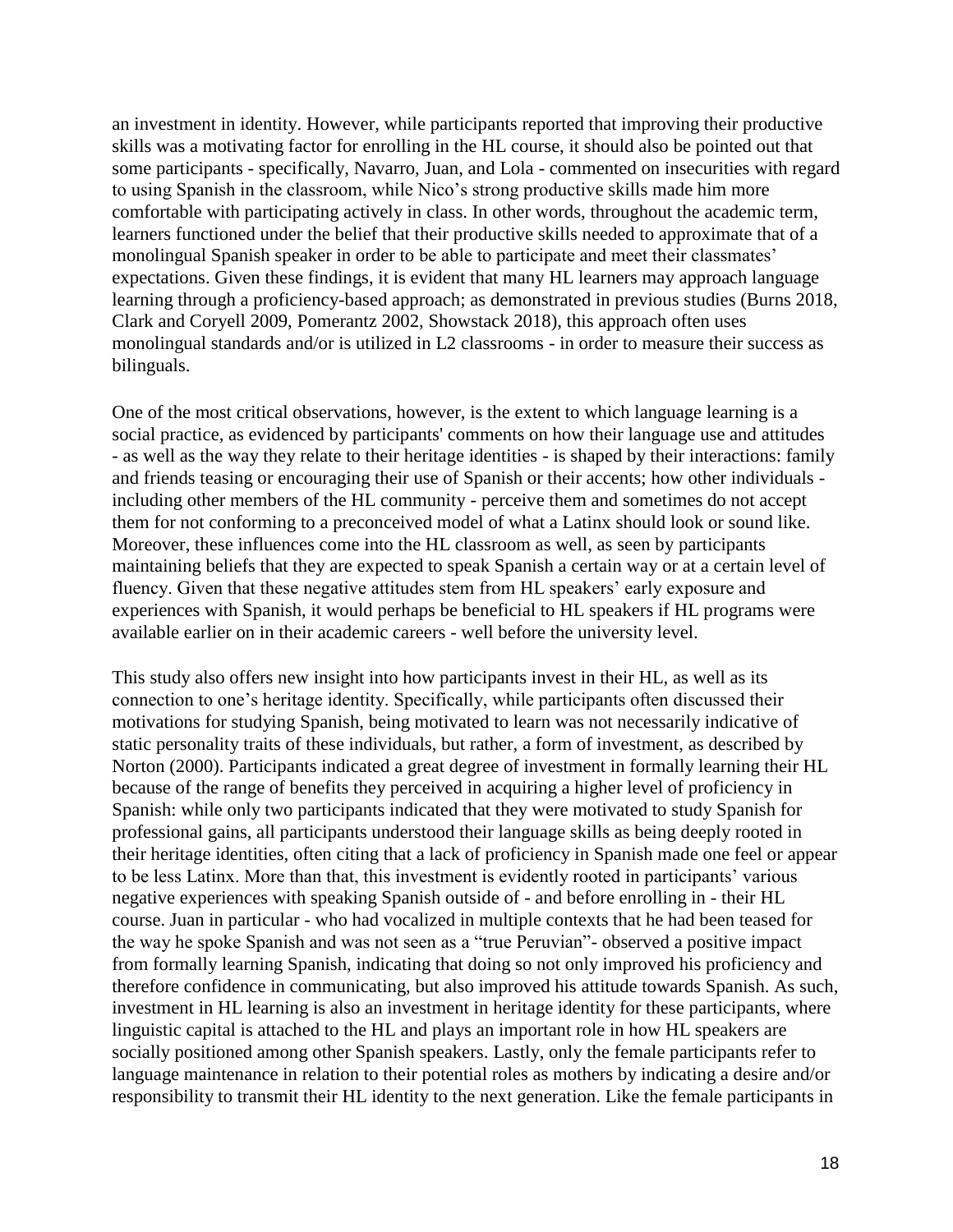an investment in identity. However, while participants reported that improving their productive skills was a motivating factor for enrolling in the HL course, it should also be pointed out that some participants - specifically, Navarro, Juan, and Lola - commented on insecurities with regard to using Spanish in the classroom, while Nico's strong productive skills made him more comfortable with participating actively in class. In other words, throughout the academic term, learners functioned under the belief that their productive skills needed to approximate that of a monolingual Spanish speaker in order to be able to participate and meet their classmates' expectations. Given these findings, it is evident that many HL learners may approach language learning through a proficiency-based approach; as demonstrated in previous studies (Burns 2018, Clark and Coryell 2009, Pomerantz 2002, Showstack 2018), this approach often uses monolingual standards and/or is utilized in L2 classrooms - in order to measure their success as bilinguals.

One of the most critical observations, however, is the extent to which language learning is a social practice, as evidenced by participants' comments on how their language use and attitudes - as well as the way they relate to their heritage identities - is shaped by their interactions: family and friends teasing or encouraging their use of Spanish or their accents; how other individuals including other members of the HL community - perceive them and sometimes do not accept them for not conforming to a preconceived model of what a Latinx should look or sound like. Moreover, these influences come into the HL classroom as well, as seen by participants maintaining beliefs that they are expected to speak Spanish a certain way or at a certain level of fluency. Given that these negative attitudes stem from HL speakers' early exposure and experiences with Spanish, it would perhaps be beneficial to HL speakers if HL programs were available earlier on in their academic careers - well before the university level.

This study also offers new insight into how participants invest in their HL, as well as its connection to one's heritage identity. Specifically, while participants often discussed their motivations for studying Spanish, being motivated to learn was not necessarily indicative of static personality traits of these individuals, but rather, a form of investment, as described by Norton (2000). Participants indicated a great degree of investment in formally learning their HL because of the range of benefits they perceived in acquiring a higher level of proficiency in Spanish: while only two participants indicated that they were motivated to study Spanish for professional gains, all participants understood their language skills as being deeply rooted in their heritage identities, often citing that a lack of proficiency in Spanish made one feel or appear to be less Latinx. More than that, this investment is evidently rooted in participants' various negative experiences with speaking Spanish outside of - and before enrolling in - their HL course. Juan in particular - who had vocalized in multiple contexts that he had been teased for the way he spoke Spanish and was not seen as a "true Peruvian"- observed a positive impact from formally learning Spanish, indicating that doing so not only improved his proficiency and therefore confidence in communicating, but also improved his attitude towards Spanish. As such, investment in HL learning is also an investment in heritage identity for these participants, where linguistic capital is attached to the HL and plays an important role in how HL speakers are socially positioned among other Spanish speakers. Lastly, only the female participants refer to language maintenance in relation to their potential roles as mothers by indicating a desire and/or responsibility to transmit their HL identity to the next generation. Like the female participants in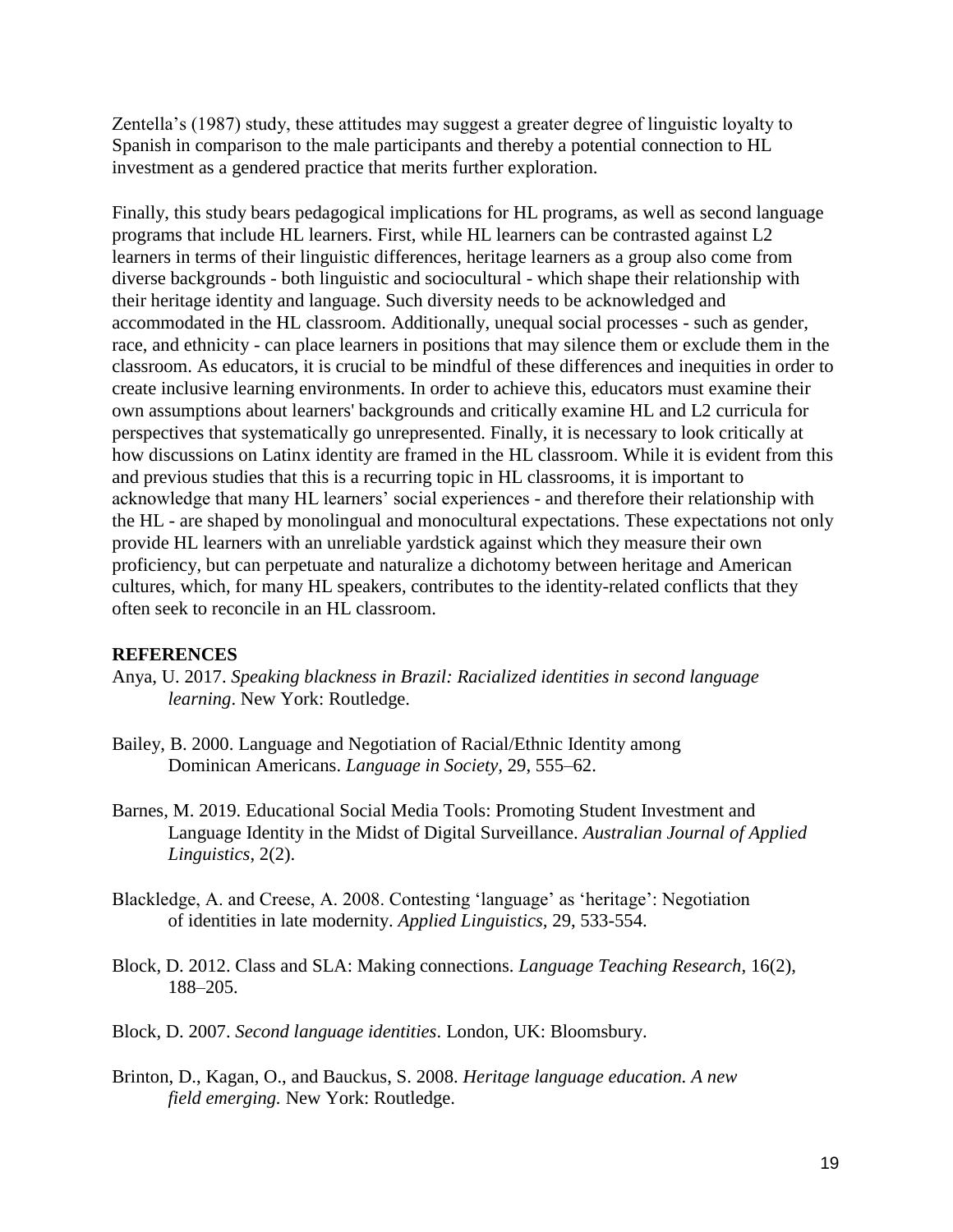Zentella's (1987) study, these attitudes may suggest a greater degree of linguistic loyalty to Spanish in comparison to the male participants and thereby a potential connection to HL investment as a gendered practice that merits further exploration.

Finally, this study bears pedagogical implications for HL programs, as well as second language programs that include HL learners. First, while HL learners can be contrasted against L2 learners in terms of their linguistic differences, heritage learners as a group also come from diverse backgrounds - both linguistic and sociocultural - which shape their relationship with their heritage identity and language. Such diversity needs to be acknowledged and accommodated in the HL classroom. Additionally, unequal social processes - such as gender, race, and ethnicity - can place learners in positions that may silence them or exclude them in the classroom. As educators, it is crucial to be mindful of these differences and inequities in order to create inclusive learning environments. In order to achieve this, educators must examine their own assumptions about learners' backgrounds and critically examine HL and L2 curricula for perspectives that systematically go unrepresented. Finally, it is necessary to look critically at how discussions on Latinx identity are framed in the HL classroom. While it is evident from this and previous studies that this is a recurring topic in HL classrooms, it is important to acknowledge that many HL learners' social experiences - and therefore their relationship with the HL - are shaped by monolingual and monocultural expectations. These expectations not only provide HL learners with an unreliable yardstick against which they measure their own proficiency, but can perpetuate and naturalize a dichotomy between heritage and American cultures, which, for many HL speakers, contributes to the identity-related conflicts that they often seek to reconcile in an HL classroom.

#### **REFERENCES**

- Anya, U. 2017. *Speaking blackness in Brazil: Racialized identities in second language learning*. New York: Routledge.
- Bailey, B. 2000. Language and Negotiation of Racial/Ethnic Identity among Dominican Americans. *Language in Society,* 29, 555–62.
- Barnes, M. 2019. Educational Social Media Tools: Promoting Student Investment and Language Identity in the Midst of Digital Surveillance. *Australian Journal of Applied Linguistics*, 2(2).
- Blackledge, A. and Creese, A. 2008. Contesting 'language' as 'heritage': Negotiation of identities in late modernity. *Applied Linguistics,* 29, 533-554.
- Block, D. 2012. Class and SLA: Making connections. *Language Teaching Research*, 16(2), 188–205.
- Block, D. 2007. *Second language identities*. London, UK: Bloomsbury.
- Brinton, D., Kagan, O., and Bauckus, S. 2008. *Heritage language education. A new field emerging.* New York: Routledge.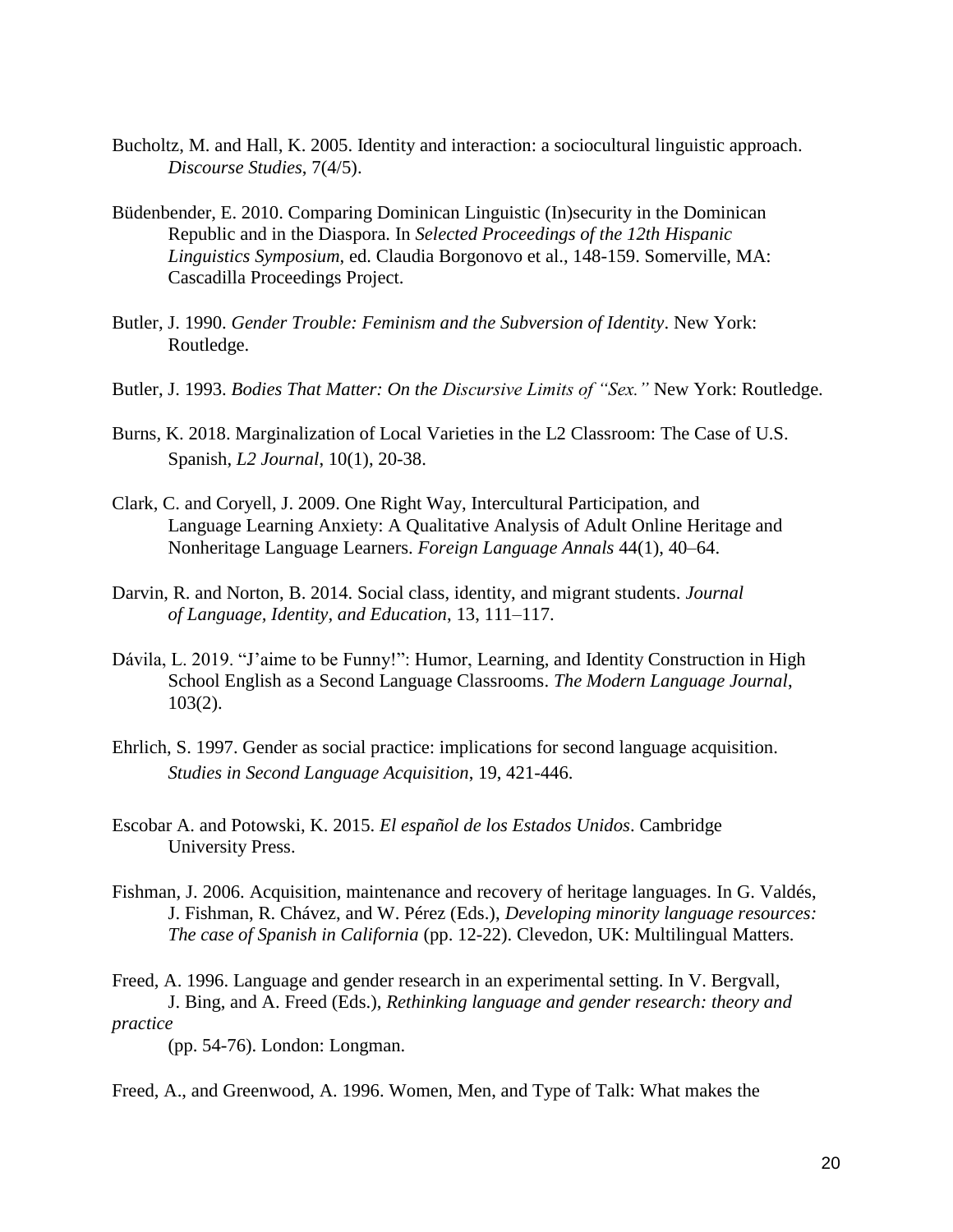- Bucholtz, M. and Hall, K. 2005. Identity and interaction: a sociocultural linguistic approach. *Discourse Studies*, 7(4/5).
- Büdenbender, E. 2010. Comparing Dominican Linguistic (In)security in the Dominican Republic and in the Diaspora. In *Selected Proceedings of the 12th Hispanic Linguistics Symposium*, ed. Claudia Borgonovo et al., 148-159. Somerville, MA: Cascadilla Proceedings Project.
- Butler, J. 1990. *Gender Trouble: Feminism and the Subversion of Identity*. New York: Routledge.
- Butler, J. 1993. *Bodies That Matter: On the Discursive Limits of "Sex."* New York: Routledge.
- Burns, K. 2018. Marginalization of Local Varieties in the L2 Classroom: The Case of U.S. Spanish, *L2 Journal*, 10(1), 20-38.
- Clark, C. and Coryell, J. 2009. One Right Way, Intercultural Participation, and Language Learning Anxiety: A Qualitative Analysis of Adult Online Heritage and Nonheritage Language Learners. *Foreign Language Annals* 44(1), 40–64.
- Darvin, R. and Norton, B. 2014. Social class, identity, and migrant students. *Journal of Language, Identity, and Education*, 13, 111–117.
- Dávila, L. 2019. "J'aime to be Funny!": Humor, Learning, and Identity Construction in High School English as a Second Language Classrooms. *The Modern Language Journal*, 103(2).
- Ehrlich, S. 1997. Gender as social practice: implications for second language acquisition. *Studies in Second Language Acquisition*, 19, 421-446.
- Escobar A. and Potowski, K. 2015. *El español de los Estados Unidos*. Cambridge University Press.
- Fishman, J. 2006. Acquisition, maintenance and recovery of heritage languages. In G. Valdés, J. Fishman, R. Chávez, and W. Pérez (Eds.), *Developing minority language resources: The case of Spanish in California* (pp. 12-22). Clevedon, UK: Multilingual Matters.

Freed, A. 1996. Language and gender research in an experimental setting. In V. Bergvall, J. Bing, and A. Freed (Eds.), *Rethinking language and gender research: theory and practice*

(pp. 54-76). London: Longman.

Freed, A., and Greenwood, A. 1996. Women, Men, and Type of Talk: What makes the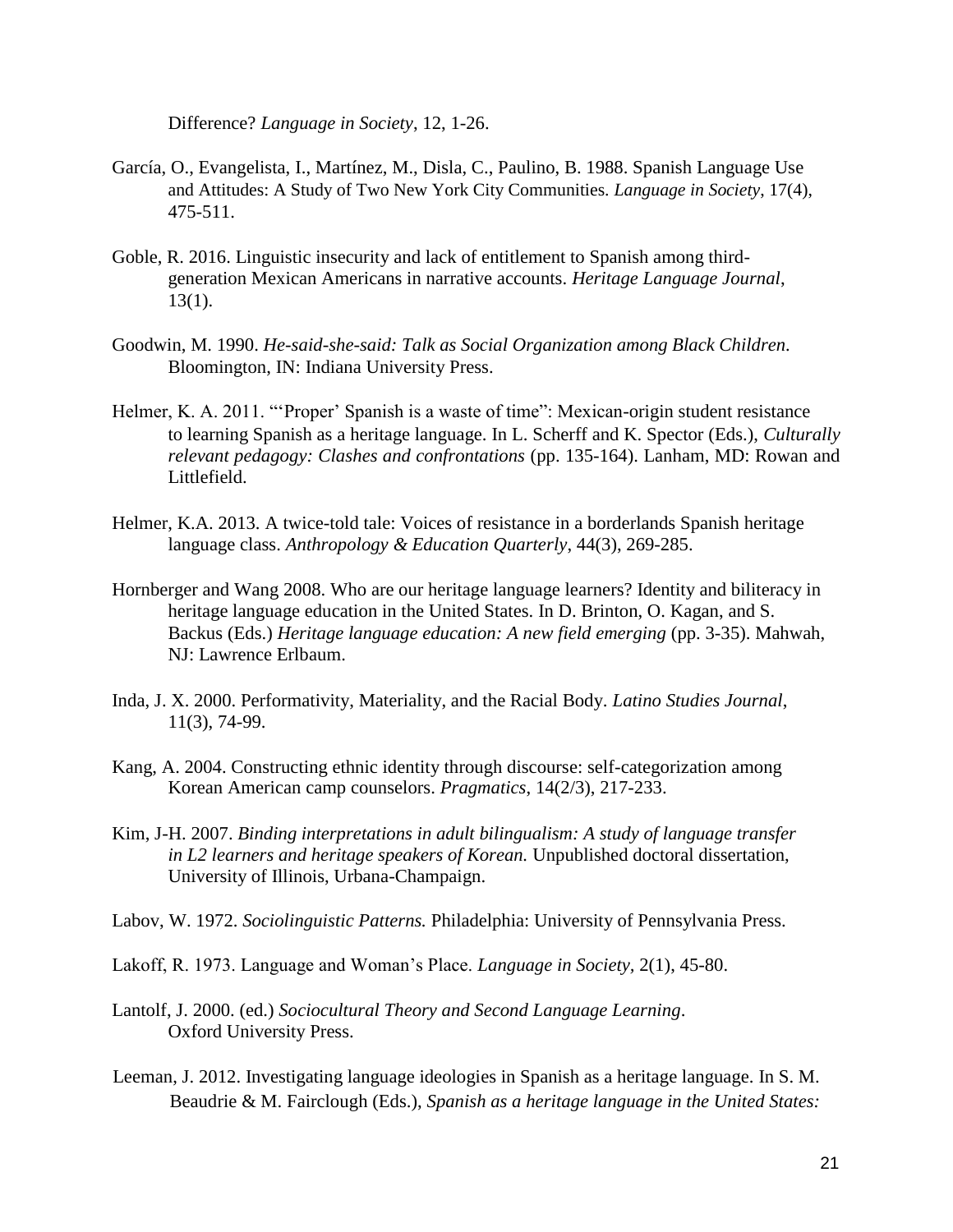Difference? *Language in Society*, 12, 1-26.

- García, O., Evangelista, I., Martínez, M., Disla, C., Paulino, B. 1988. Spanish Language Use and Attitudes: A Study of Two New York City Communities. *Language in Society*, 17(4), 475-511.
- Goble, R. 2016. Linguistic insecurity and lack of entitlement to Spanish among thirdgeneration Mexican Americans in narrative accounts. *Heritage Language Journal*, 13(1).
- Goodwin, M. 1990. *He-said-she-said: Talk as Social Organization among Black Children.* Bloomington, IN: Indiana University Press.
- Helmer, K. A. 2011. "'Proper' Spanish is a waste of time": Mexican-origin student resistance to learning Spanish as a heritage language. In L. Scherff and K. Spector (Eds.), *Culturally relevant pedagogy: Clashes and confrontations* (pp. 135-164). Lanham, MD: Rowan and Littlefield.
- Helmer, K.A. 2013. A twice-told tale: Voices of resistance in a borderlands Spanish heritage language class. *Anthropology & Education Quarterly*, 44(3), 269-285.
- Hornberger and Wang 2008. Who are our heritage language learners? Identity and biliteracy in heritage language education in the United States. In D. Brinton, O. Kagan, and S. Backus (Eds.) *Heritage language education: A new field emerging* (pp. 3-35). Mahwah, NJ: Lawrence Erlbaum.
- Inda, J. X. 2000. Performativity, Materiality, and the Racial Body. *Latino Studies Journal*, 11(3), 74-99.
- Kang, A. 2004. Constructing ethnic identity through discourse: self-categorization among Korean American camp counselors. *Pragmatics*, 14(2/3), 217-233.
- Kim, J-H. 2007. *Binding interpretations in adult bilingualism: A study of language transfer in L2 learners and heritage speakers of Korean.* Unpublished doctoral dissertation, University of Illinois, Urbana-Champaign.
- Labov, W. 1972. *Sociolinguistic Patterns.* Philadelphia: University of Pennsylvania Press.
- Lakoff, R. 1973. Language and Woman's Place. *Language in Society,* 2(1), 45-80.
- Lantolf, J. 2000. (ed.) *Sociocultural Theory and Second Language Learning*. Oxford University Press.
- Leeman, J. 2012. Investigating language ideologies in Spanish as a heritage language. In S. M. Beaudrie & M. Fairclough (Eds.), *Spanish as a heritage language in the United States:*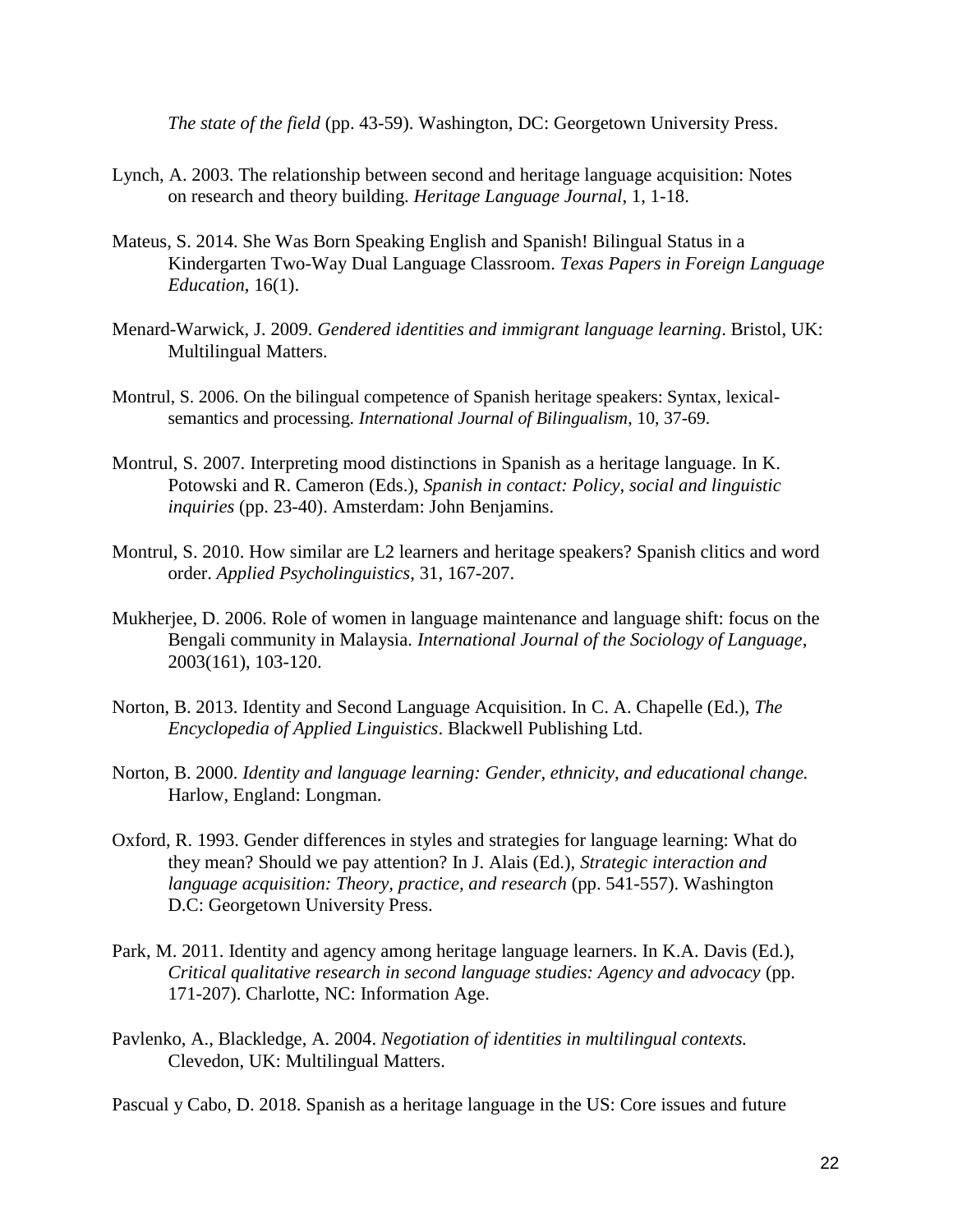*The state of the field* (pp. 43-59). Washington, DC: Georgetown University Press.

- Lynch, A. 2003. The relationship between second and heritage language acquisition: Notes on research and theory building. *Heritage Language Journal*, 1, 1-18.
- Mateus, S. 2014. She Was Born Speaking English and Spanish! Bilingual Status in a Kindergarten Two-Way Dual Language Classroom. *Texas Papers in Foreign Language Education*, 16(1).
- Menard-Warwick, J. 2009. *Gendered identities and immigrant language learning*. Bristol, UK: Multilingual Matters.
- Montrul, S. 2006. On the bilingual competence of Spanish heritage speakers: Syntax, lexicalsemantics and processing. *International Journal of Bilingualism*, 10, 37-69.
- Montrul, S. 2007. Interpreting mood distinctions in Spanish as a heritage language. In K. Potowski and R. Cameron (Eds.), *Spanish in contact: Policy, social and linguistic inquiries* (pp. 23-40). Amsterdam: John Benjamins.
- Montrul, S. 2010. How similar are L2 learners and heritage speakers? Spanish clitics and word order. *Applied Psycholinguistics*, 31, 167-207.
- Mukherjee, D. 2006. Role of women in language maintenance and language shift: focus on the Bengali community in Malaysia. *International Journal of the Sociology of Language*, 2003(161), 103-120.
- Norton, B. 2013. Identity and Second Language Acquisition. In C. A. Chapelle (Ed.), *The Encyclopedia of Applied Linguistics*. Blackwell Publishing Ltd.
- Norton, B. 2000. *Identity and language learning: Gender, ethnicity, and educational change.* Harlow, England: Longman.
- Oxford, R. 1993. Gender differences in styles and strategies for language learning: What do they mean? Should we pay attention? In J. Alais (Ed.), *Strategic interaction and language acquisition: Theory, practice, and research (pp. 541-557).* Washington D.C: Georgetown University Press.
- Park, M. 2011. Identity and agency among heritage language learners. In K.A. Davis (Ed.), *Critical qualitative research in second language studies: Agency and advocacy* (pp. 171-207). Charlotte, NC: Information Age.
- Pavlenko, A., Blackledge, A. 2004. *Negotiation of identities in multilingual contexts.* Clevedon, UK: Multilingual Matters.

Pascual y Cabo, D. 2018. Spanish as a heritage language in the US: Core issues and future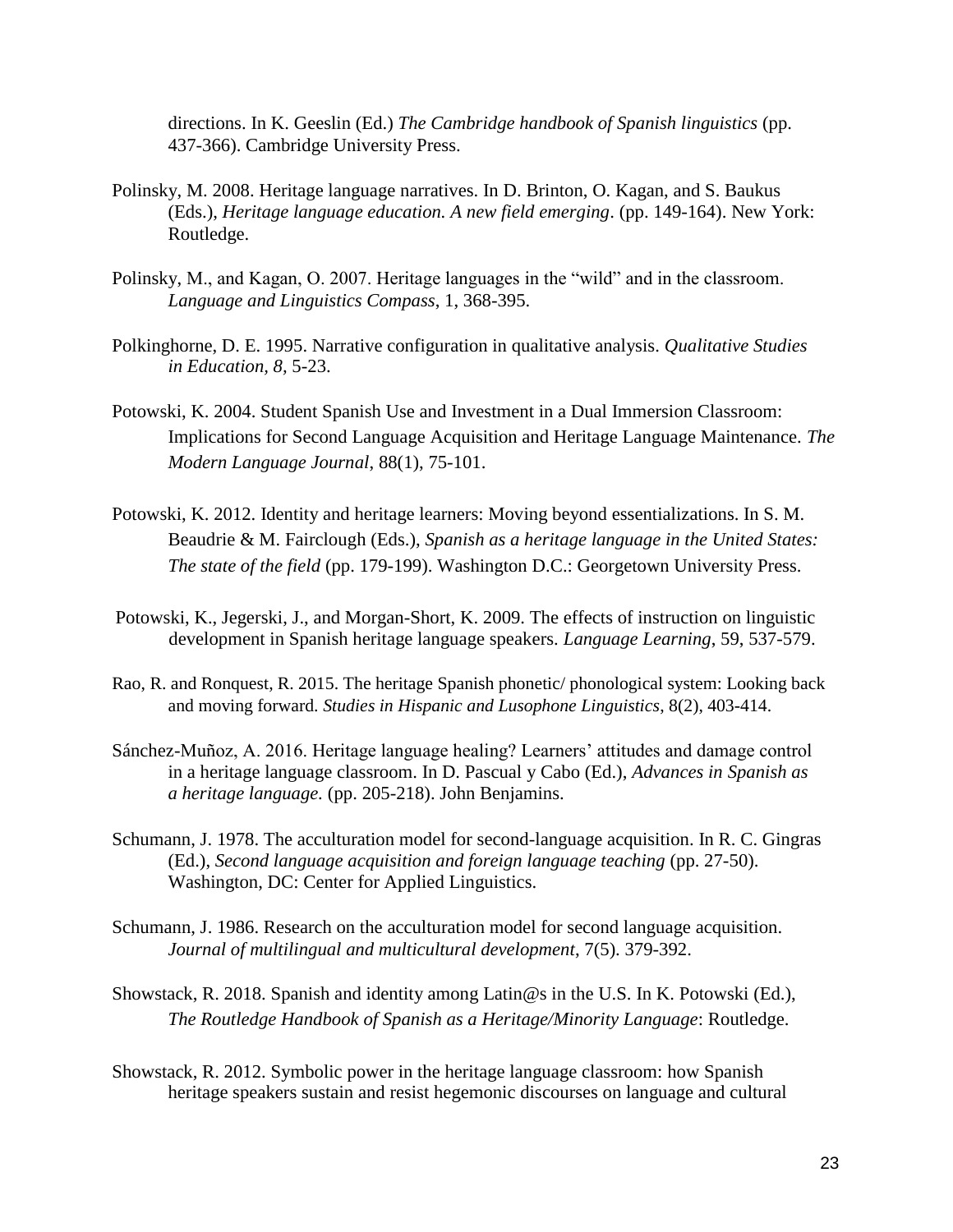directions. In K. Geeslin (Ed.) *The Cambridge handbook of Spanish linguistics* (pp. 437-366). Cambridge University Press.

- Polinsky, M. 2008. Heritage language narratives. In D. Brinton, O. Kagan, and S. Baukus (Eds.), *Heritage language education. A new field emerging*. (pp. 149-164). New York: Routledge.
- Polinsky, M., and Kagan, O. 2007. Heritage languages in the "wild" and in the classroom. *Language and Linguistics Compass*, 1, 368-395.
- Polkinghorne, D. E. 1995. Narrative configuration in qualitative analysis. *Qualitative Studies in Education, 8,* 5-23.
- Potowski, K. 2004. Student Spanish Use and Investment in a Dual Immersion Classroom: Implications for Second Language Acquisition and Heritage Language Maintenance. *The Modern Language Journal*, 88(1), 75-101.
- Potowski, K. 2012. Identity and heritage learners: Moving beyond essentializations. In S. M. Beaudrie & M. Fairclough (Eds.), *Spanish as a heritage language in the United States: The state of the field* (pp. 179-199). Washington D.C.: Georgetown University Press.
- Potowski, K., Jegerski, J., and Morgan-Short, K. 2009. The effects of instruction on linguistic development in Spanish heritage language speakers. *Language Learning*, 59, 537-579.
- Rao, R. and Ronquest, R. 2015. The heritage Spanish phonetic/ phonological system: Looking back and moving forward. *Studies in Hispanic and Lusophone Linguistics*, 8(2), 403-414.
- Sánchez-Muñoz, A. 2016. Heritage language healing? Learners' attitudes and damage control in a heritage language classroom. In D. Pascual y Cabo (Ed.), *Advances in Spanish as a heritage language.* (pp. 205-218). John Benjamins.
- Schumann, J. 1978. The acculturation model for second-language acquisition. In R. C. Gingras (Ed.), *Second language acquisition and foreign language teaching* (pp. 27-50). Washington, DC: Center for Applied Linguistics.
- Schumann, J. 1986. Research on the acculturation model for second language acquisition. *Journal of multilingual and multicultural development*, 7(5). 379-392.
- Showstack, R. 2018. Spanish and identity among Latin@s in the U.S. In K. Potowski (Ed.), *The Routledge Handbook of Spanish as a Heritage/Minority Language*: Routledge.
- Showstack, R. 2012. Symbolic power in the heritage language classroom: how Spanish heritage speakers sustain and resist hegemonic discourses on language and cultural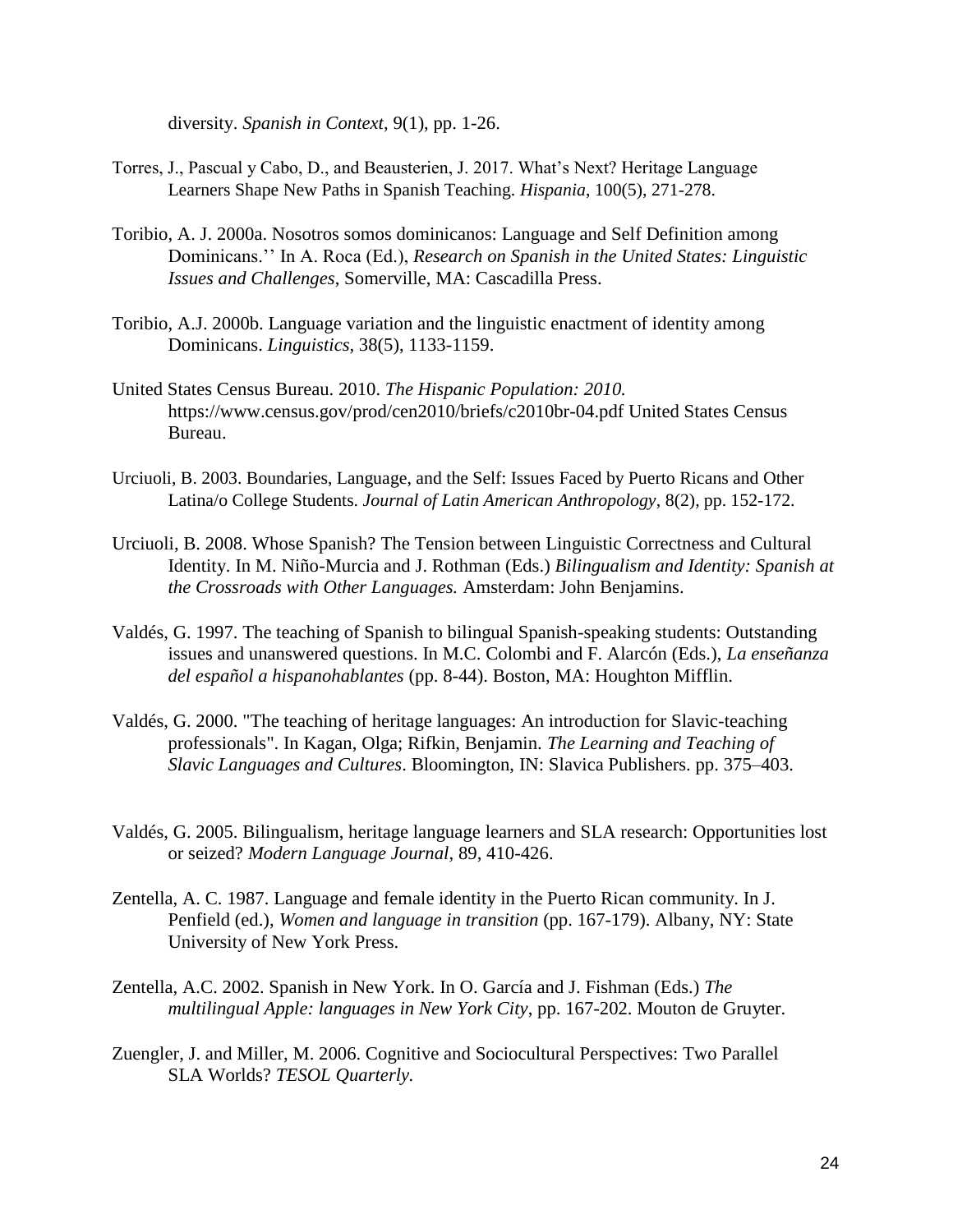diversity. *Spanish in Context*, 9(1), pp. 1-26.

- Torres, J., Pascual y Cabo, D., and Beausterien, J. 2017. What's Next? Heritage Language Learners Shape New Paths in Spanish Teaching. *Hispania*, 100(5), 271-278.
- Toribio, A. J. 2000a. Nosotros somos dominicanos: Language and Self Definition among Dominicans.'' In A. Roca (Ed.), *Research on Spanish in the United States: Linguistic Issues and Challenges*, Somerville, MA: Cascadilla Press.
- Toribio, A.J. 2000b. Language variation and the linguistic enactment of identity among Dominicans. *Linguistics,* 38(5), 1133-1159.
- United States Census Bureau. 2010. *The Hispanic Population: 2010.* [https://www.census.gov/prod/cen2010/briefs/c2010br-04.pdf U](http://www.census.gov/prod/cen2010/briefs/c2010br-04.pdf)nited States Census Bureau.
- Urciuoli, B. 2003. Boundaries, Language, and the Self: Issues Faced by Puerto Ricans and Other Latina/o College Students. *Journal of Latin American Anthropology*, 8(2), pp. 152-172.
- Urciuoli, B. 2008. Whose Spanish? The Tension between Linguistic Correctness and Cultural Identity. In M. Niño-Murcia and J. Rothman (Eds.) *Bilingualism and Identity: Spanish at the Crossroads with Other Languages.* Amsterdam: John Benjamins.
- Valdés, G. 1997. The teaching of Spanish to bilingual Spanish-speaking students: Outstanding issues and unanswered questions. In M.C. Colombi and F. Alarcón (Eds.), *La enseñanza del español a hispanohablantes* (pp. 8-44). Boston, MA: Houghton Mifflin.
- Valdés, G. 2000. "The teaching of heritage languages: An introduction for Slavic-teaching professionals". In Kagan, Olga; Rifkin, Benjamin. *The Learning and Teaching of Slavic Languages and Cultures*. Bloomington, IN: Slavica Publishers. pp. 375–403.
- Valdés, G. 2005. Bilingualism, heritage language learners and SLA research: Opportunities lost or seized? *Modern Language Journal*, 89, 410-426.
- Zentella, A. C. 1987. Language and female identity in the Puerto Rican community. In J. Penfield (ed.), *Women and language in transition* (pp. 167-179). Albany, NY: State University of New York Press.
- Zentella, A.C. 2002. Spanish in New York. In O. García and J. Fishman (Eds.) *The multilingual Apple: languages in New York City*, pp. 167-202. Mouton de Gruyter.
- Zuengler, J. and Miller, M. 2006. Cognitive and Sociocultural Perspectives: Two Parallel SLA Worlds? *TESOL Quarterly.*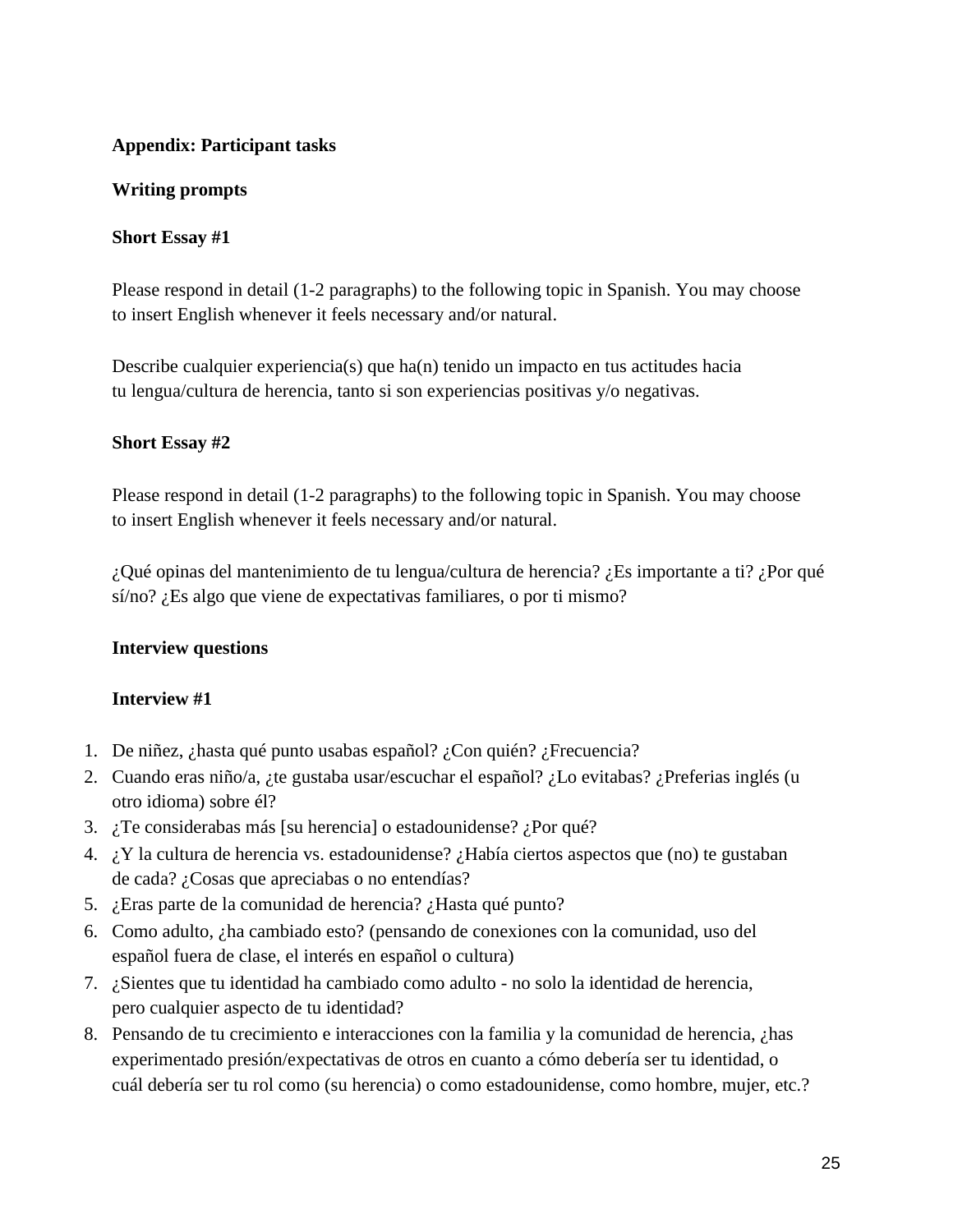### **Appendix: Participant tasks**

#### **Writing prompts**

#### **Short Essay #1**

Please respond in detail (1-2 paragraphs) to the following topic in Spanish. You may choose to insert English whenever it feels necessary and/or natural.

Describe cualquier experiencia(s) que ha(n) tenido un impacto en tus actitudes hacia tu lengua/cultura de herencia, tanto si son experiencias positivas y/o negativas.

#### **Short Essay #2**

Please respond in detail (1-2 paragraphs) to the following topic in Spanish. You may choose to insert English whenever it feels necessary and/or natural.

¿Qué opinas del mantenimiento de tu lengua/cultura de herencia? ¿Es importante a ti? ¿Por qué sí/no? ¿Es algo que viene de expectativas familiares, o por ti mismo?

#### **Interview questions**

#### **Interview #1**

- 1. De niñez, ¿hasta qué punto usabas español? ¿Con quién? ¿Frecuencia?
- 2. Cuando eras niño/a, ¿te gustaba usar/escuchar el español? ¿Lo evitabas? ¿Preferias inglés (u otro idioma) sobre él?
- 3. ¿Te considerabas más [su herencia] o estadounidense? ¿Por qué?
- 4. ¿Y la cultura de herencia vs. estadounidense? ¿Había ciertos aspectos que (no) te gustaban de cada? ¿Cosas que apreciabas o no entendías?
- 5. ¿Eras parte de la comunidad de herencia? ¿Hasta qué punto?
- 6. Como adulto, ¿ha cambiado esto? (pensando de conexiones con la comunidad, uso del español fuera de clase, el interés en español o cultura)
- 7. ¿Sientes que tu identidad ha cambiado como adulto no solo la identidad de herencia, pero cualquier aspecto de tu identidad?
- 8. Pensando de tu crecimiento e interacciones con la familia y la comunidad de herencia, ¿has experimentado presión/expectativas de otros en cuanto a cómo debería ser tu identidad, o cuál debería ser tu rol como (su herencia) o como estadounidense, como hombre, mujer, etc.?